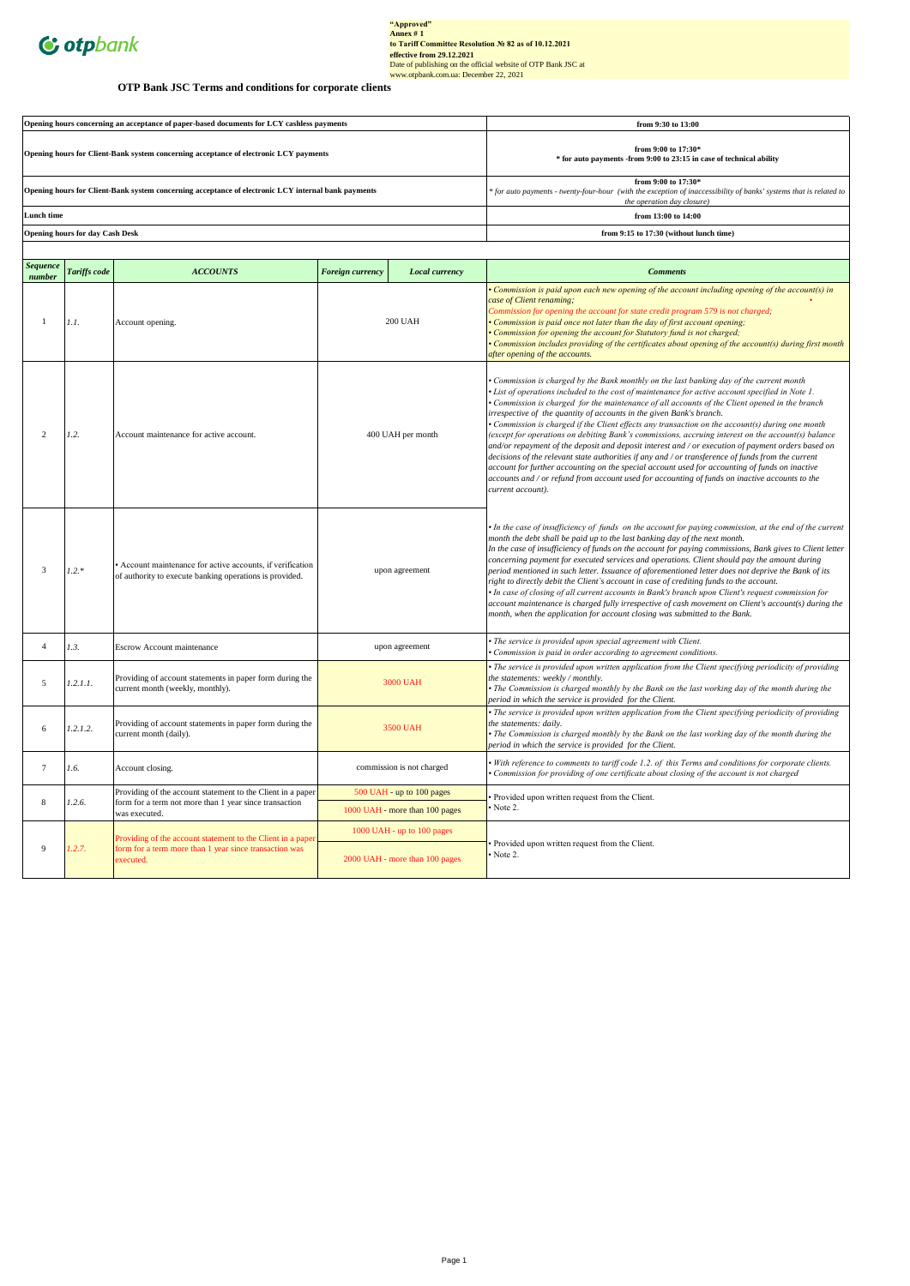

# "Approved"<br>
Annex #1<br>
to Tariff Committee Resolution Ne 82 as of 10.12.2021<br>
effective from 29.12.2021<br>
Date of publishing on the official website of OTP Bank JSC at<br>
Date of publishing on the official website of OTP Bank

# **OTP Bank JSC Terms and conditions for corporate clients**

| Opening hours concerning an acceptance of paper-based documents for LCY cashless payments           | from 9:30 to 13:00                                                                                                                                                        |
|-----------------------------------------------------------------------------------------------------|---------------------------------------------------------------------------------------------------------------------------------------------------------------------------|
| Opening hours for Client-Bank system concerning acceptance of electronic LCY payments               | from 9:00 to $17:30*$<br>* for auto payments -from 9:00 to 23:15 in case of technical ability                                                                             |
| Opening hours for Client-Bank system concerning acceptance of electronic LCY internal bank payments | from 9:00 to $17:30*$<br>* for auto payments - twenty-four-hour (with the exception of inaccessibility of banks' systems that is related to<br>the operation day closure) |
| Lunch time                                                                                          | from 13:00 to 14:00                                                                                                                                                       |
| <b>Opening hours for day Cash Desk</b>                                                              | from 9:15 to 17:30 (without lunch time)                                                                                                                                   |
|                                                                                                     |                                                                                                                                                                           |

| <b>Sequence</b><br>number | Tariffs code | <b>ACCOUNTS</b>                                                                                                                    | <b>Foreign currency</b> | Local currency                                               | <b>Comments</b>                                                                                                                                                                                                                                                                                                                                                                                                                                                                                                                                                                                                                                                                                                                                                                                                                                                                                                                                                                                                     |
|---------------------------|--------------|------------------------------------------------------------------------------------------------------------------------------------|-------------------------|--------------------------------------------------------------|---------------------------------------------------------------------------------------------------------------------------------------------------------------------------------------------------------------------------------------------------------------------------------------------------------------------------------------------------------------------------------------------------------------------------------------------------------------------------------------------------------------------------------------------------------------------------------------------------------------------------------------------------------------------------------------------------------------------------------------------------------------------------------------------------------------------------------------------------------------------------------------------------------------------------------------------------------------------------------------------------------------------|
| $\overline{1}$            | 1.1.         | Account opening.                                                                                                                   | <b>200 UAH</b>          |                                                              | Commission is paid upon each new opening of the account including opening of the account(s) in<br>case of Client renaming;<br>Commission for opening the account for state credit program 579 is not charged;<br>• Commission is paid once not later than the day of first account opening;<br>Commission for opening the account for Statutory fund is not charged;<br>• Commission includes providing of the certificates about opening of the account(s) during first month<br>after opening of the accounts.                                                                                                                                                                                                                                                                                                                                                                                                                                                                                                    |
| 2                         | 1.2.         | Account maintenance for active account.                                                                                            | 400 UAH per month       |                                                              | Commission is charged by the Bank monthly on the last banking day of the current month<br>• List of operations included to the cost of maintenance for active account specified in Note 1.<br>• Commission is charged for the maintenance of all accounts of the Client opened in the branch<br>irrespective of the quantity of accounts in the given Bank's branch.<br>• Commission is charged if the Client effects any transaction on the account(s) during one month<br>(except for operations on debiting Bank's commissions, accruing interest on the account(s) balance<br>and/or repayment of the deposit and deposit interest and / or execution of payment orders based on<br>decisions of the relevant state authorities if any and / or transference of funds from the current<br>account for further accounting on the special account used for accounting of funds on inactive<br>accounts and / or refund from account used for accounting of funds on inactive accounts to the<br>current account). |
| 3                         | $1.2.*$      | • Account maintenance for active accounts, if verification<br>of authority to execute banking operations is provided.              | upon agreement          |                                                              | • In the case of insufficiency of funds on the account for paying commission, at the end of the current<br>month the debt shall be paid up to the last banking day of the next month.<br>In the case of insufficiency of funds on the account for paying commissions, Bank gives to Client letter<br>concerning payment for executed services and operations. Client should pay the amount during<br>period mentioned in such letter. Issuance of aforementioned letter does not deprive the Bank of its<br>right to directly debit the Client's account in case of crediting funds to the account.<br>• In case of closing of all current accounts in Bank's branch upon Client's request commission for<br>account maintenance is charged fully irrespective of cash movement on Client's account(s) during the<br>month, when the application for account closing was submitted to the Bank.                                                                                                                     |
| $\overline{4}$            | 1.3.         | Escrow Account maintenance                                                                                                         |                         | upon agreement                                               | The service is provided upon special agreement with Client.<br>Commission is paid in order according to agreement conditions.                                                                                                                                                                                                                                                                                                                                                                                                                                                                                                                                                                                                                                                                                                                                                                                                                                                                                       |
| 5                         | 1.2.1.1.     | Providing of account statements in paper form during the<br>current month (weekly, monthly).                                       |                         | <b>3000 UAH</b>                                              | The service is provided upon written application from the Client specifying periodicity of providing<br>the statements: weekly / monthly.<br>• The Commission is charged monthly by the Bank on the last working day of the month during the<br>period in which the service is provided for the Client.                                                                                                                                                                                                                                                                                                                                                                                                                                                                                                                                                                                                                                                                                                             |
| 6                         | 1.2.1.2.     | Providing of account statements in paper form during the<br>current month (daily).                                                 | 3500 UAH                |                                                              | • The service is provided upon written application from the Client specifying periodicity of providing<br>the statements: daily.<br>• The Commission is charged monthly by the Bank on the last working day of the month during the<br>period in which the service is provided for the Client.                                                                                                                                                                                                                                                                                                                                                                                                                                                                                                                                                                                                                                                                                                                      |
| $\tau$                    | 1.6.         | Account closing.                                                                                                                   |                         | commission is not charged                                    | With reference to comments to tariff code 1.2. of this Terms and conditions for corporate clients.<br>Commission for providing of one certificate about closing of the account is not charged                                                                                                                                                                                                                                                                                                                                                                                                                                                                                                                                                                                                                                                                                                                                                                                                                       |
| 8                         | 1.2.6.       | Providing of the account statement to the Client in a paper<br>form for a term not more than 1 year since transaction              |                         | 500 UAH - up to 100 pages                                    | Provided upon written request from the Client.                                                                                                                                                                                                                                                                                                                                                                                                                                                                                                                                                                                                                                                                                                                                                                                                                                                                                                                                                                      |
|                           |              | was executed.                                                                                                                      |                         | 1000 UAH - more than 100 pages                               | Note 2.                                                                                                                                                                                                                                                                                                                                                                                                                                                                                                                                                                                                                                                                                                                                                                                                                                                                                                                                                                                                             |
| 9                         | 1.2.7.       | Providing of the account statement to the Client in a paper<br>form for a term more than 1 year since transaction was<br>executed. |                         | 1000 UAH - up to 100 pages<br>2000 UAH - more than 100 pages | Provided upon written request from the Client.<br>Note 2.                                                                                                                                                                                                                                                                                                                                                                                                                                                                                                                                                                                                                                                                                                                                                                                                                                                                                                                                                           |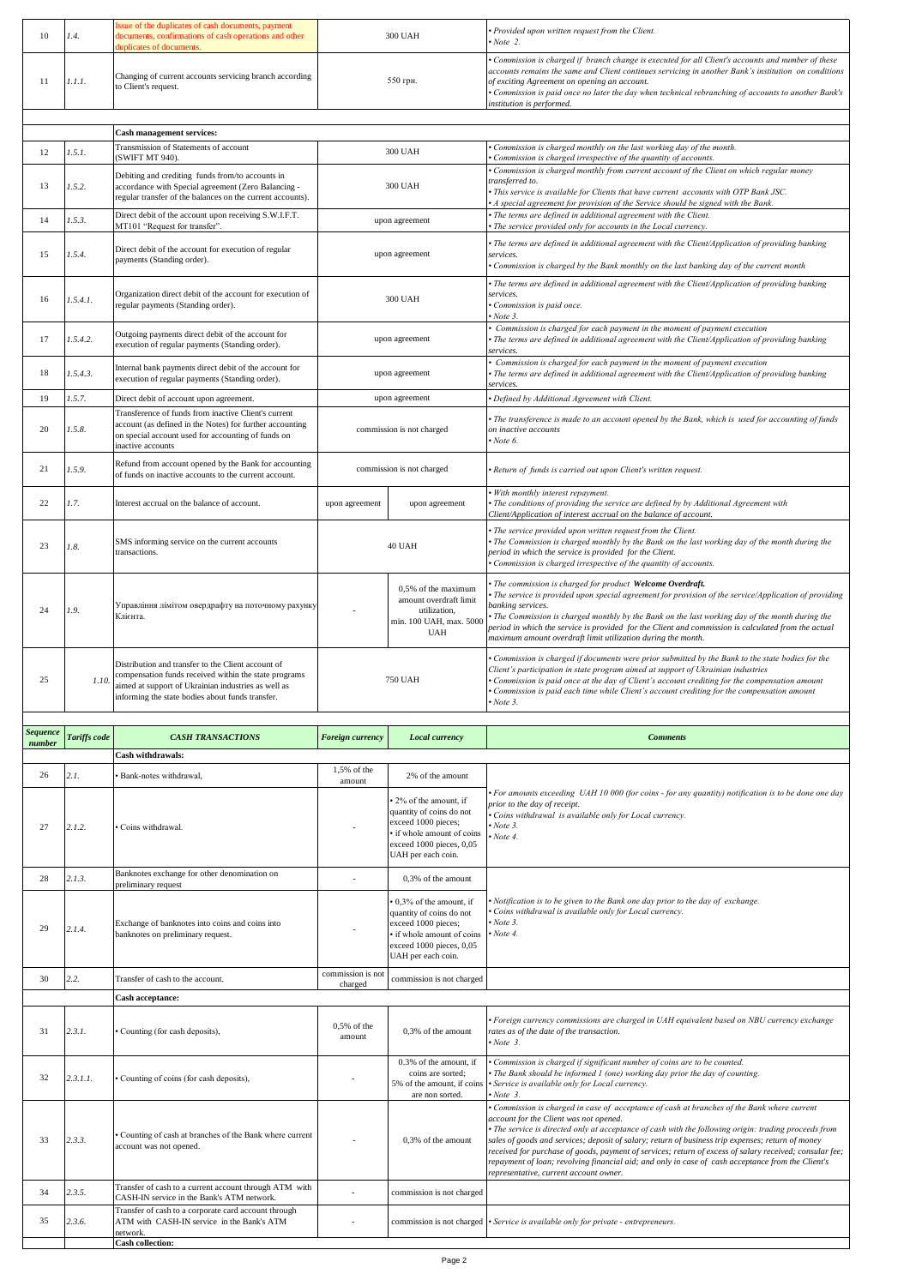| 10              | 1.4.         | ssue of the duplicates of cash documents, payment<br>documents, confirmations of cash operations and other<br>uplicates of documents                                                                                  |                                                                                                                                                           | 300 UAH                                                                                                                                                 | Provided upon written request from the Client.<br>Note 2.                                                                                                                                                                                                                                                                                                                                                                                                                                                                                                                                                 |
|-----------------|--------------|-----------------------------------------------------------------------------------------------------------------------------------------------------------------------------------------------------------------------|-----------------------------------------------------------------------------------------------------------------------------------------------------------|---------------------------------------------------------------------------------------------------------------------------------------------------------|-----------------------------------------------------------------------------------------------------------------------------------------------------------------------------------------------------------------------------------------------------------------------------------------------------------------------------------------------------------------------------------------------------------------------------------------------------------------------------------------------------------------------------------------------------------------------------------------------------------|
| 11              | 1.1.1.       | Changing of current accounts servicing branch according<br>to Client's request.                                                                                                                                       |                                                                                                                                                           | 550 грн.                                                                                                                                                | Commission is charged if branch change is executed for all Client's accounts and number of these<br>accounts remains the same and Client continues servicing in another Bank's institution on conditions<br>of exciting Agreement on opening an account.<br>Commission is paid once no later the day when technical rebranching of accounts to another Bank's<br>institution is performed.                                                                                                                                                                                                                |
|                 |              | Cash management services:                                                                                                                                                                                             |                                                                                                                                                           |                                                                                                                                                         |                                                                                                                                                                                                                                                                                                                                                                                                                                                                                                                                                                                                           |
|                 |              | Transmission of Statements of account                                                                                                                                                                                 |                                                                                                                                                           |                                                                                                                                                         | Commission is charged monthly on the last working day of the month.                                                                                                                                                                                                                                                                                                                                                                                                                                                                                                                                       |
| 12              | 1.5.1.       | (SWIFT MT 940).                                                                                                                                                                                                       |                                                                                                                                                           | <b>300 UAH</b>                                                                                                                                          | Commission is charged irrespective of the quantity of accounts.                                                                                                                                                                                                                                                                                                                                                                                                                                                                                                                                           |
| 13              | 1.5.2.       | Debiting and crediting funds from/to accounts in<br>accordance with Special agreement (Zero Balancing -<br>regular transfer of the balances on the current accounts).                                                 |                                                                                                                                                           | 300 UAH                                                                                                                                                 | Commission is charged monthly from current account of the Client on which regular money<br>transferred to.<br>• This service is available for Clients that have current accounts with OTP Bank JSC.<br>A special agreement for provision of the Service should be signed with the Bank.                                                                                                                                                                                                                                                                                                                   |
| 14              | 1.5.3.       | Direct debit of the account upon receiving S.W.I.F.T.<br>MT101 "Request for transfer".                                                                                                                                |                                                                                                                                                           | upon agreement                                                                                                                                          | The terms are defined in additional agreement with the Client.<br>The service provided only for accounts in the Local currency.                                                                                                                                                                                                                                                                                                                                                                                                                                                                           |
| 15              | 1.5.4.       | Direct debit of the account for execution of regular<br>payments (Standing order).                                                                                                                                    |                                                                                                                                                           | upon agreement                                                                                                                                          | The terms are defined in additional agreement with the Client/Application of providing banking<br>services.<br>Commission is charged by the Bank monthly on the last banking day of the current month                                                                                                                                                                                                                                                                                                                                                                                                     |
|                 |              |                                                                                                                                                                                                                       |                                                                                                                                                           |                                                                                                                                                         | The terms are defined in additional agreement with the Client/Application of providing banking                                                                                                                                                                                                                                                                                                                                                                                                                                                                                                            |
| 16              | 1.5.4.1.     | Organization direct debit of the account for execution of<br>regular payments (Standing order).                                                                                                                       |                                                                                                                                                           | <b>300 UAH</b>                                                                                                                                          | services.<br>Commission is paid once.<br>Note 3.                                                                                                                                                                                                                                                                                                                                                                                                                                                                                                                                                          |
| 17              | 1.5.4.2.     | Outgoing payments direct debit of the account for<br>execution of regular payments (Standing order).                                                                                                                  |                                                                                                                                                           | upon agreement                                                                                                                                          | Commission is charged for each payment in the moment of payment execution<br>The terms are defined in additional agreement with the Client/Application of providing banking<br>services.                                                                                                                                                                                                                                                                                                                                                                                                                  |
| 18              | 1.5.4.3.     | Internal bank payments direct debit of the account for<br>execution of regular payments (Standing order).                                                                                                             |                                                                                                                                                           | upon agreement                                                                                                                                          | Commission is charged for each payment in the moment of payment execution<br>The terms are defined in additional agreement with the Client/Application of providing banking<br>services.                                                                                                                                                                                                                                                                                                                                                                                                                  |
| 19              | 1.5.7.       | Direct debit of account upon agreement.<br>Transference of funds from inactive Client's current                                                                                                                       |                                                                                                                                                           | upon agreement                                                                                                                                          | Defined by Additional Agreement with Client.                                                                                                                                                                                                                                                                                                                                                                                                                                                                                                                                                              |
| 20              | 1.5.8.       | account (as defined in the Notes) for further accounting<br>on special account used for accounting of funds on<br>inactive accounts                                                                                   |                                                                                                                                                           | commission is not charged                                                                                                                               | The transference is made to an account opened by the Bank, which is used for accounting of funds<br>on inactive accounts<br>Note 6.                                                                                                                                                                                                                                                                                                                                                                                                                                                                       |
| 21              | 1.5.9.       | Refund from account opened by the Bank for accounting<br>of funds on inactive accounts to the current account.                                                                                                        |                                                                                                                                                           | commission is not charged                                                                                                                               | · Return of funds is carried out upon Client's written request.                                                                                                                                                                                                                                                                                                                                                                                                                                                                                                                                           |
| 22              | 1.7.         | Interest accrual on the balance of account.                                                                                                                                                                           | upon agreement                                                                                                                                            | upon agreement                                                                                                                                          | With monthly interest repayment.<br>The conditions of providing the service are defined by by Additional Agreement with<br>Client/Application of interest accrual on the balance of account.                                                                                                                                                                                                                                                                                                                                                                                                              |
| 23              | 1.8.         | SMS informing service on the current accounts<br>transactions.                                                                                                                                                        | 40 UAH                                                                                                                                                    |                                                                                                                                                         | The service provided upon written request from the Client.<br>The Commission is charged monthly by the Bank on the last working day of the month during the<br>period in which the service is provided for the Client.<br>Commission is charged irrespective of the quantity of accounts.                                                                                                                                                                                                                                                                                                                 |
| 24              | 1.9.         | Управління лімітом овердрафту на поточному рахунку<br>Клієнта.                                                                                                                                                        |                                                                                                                                                           | 0,5% of the maximum<br>amount overdraft limit<br>utilization.<br>min. 100 UAH, max. 500<br><b>UAH</b>                                                   | The commission is charged for product Welcome Overdraft.<br>The service is provided upon special agreement for provision of the service/Application of providing<br>banking services.<br>The Commission is charged monthly by the Bank on the last working day of the month during the<br>period in which the service is provided for the Client and commission is calculated from the actual<br>maximum amount overdraft limit utilization during the month.                                                                                                                                             |
| 25              | 1.10.        | Distribution and transfer to the Client account of<br>compensation funds received within the state programs<br>aimed at support of Ukrainian industries as well as<br>nforming the state bodies about funds transfer. |                                                                                                                                                           | <b>750 UAH</b>                                                                                                                                          | Commission is charged if documents were prior submitted by the Bank to the state bodies for the<br>Client's participation in state program aimed at support of Ukrainian industries<br>• Commission is paid once at the day of Client's account crediting for the compensation amount<br>· Commission is paid each time while Client's account crediting for the compensation amount<br>$\cdot$ Note 3.                                                                                                                                                                                                   |
| <b>Sequence</b> | Tariffs code | <b>CASH TRANSACTIONS</b>                                                                                                                                                                                              | <b>Foreign currency</b>                                                                                                                                   | Local currency                                                                                                                                          | <b>Comments</b>                                                                                                                                                                                                                                                                                                                                                                                                                                                                                                                                                                                           |
| number          |              | Cash withdrawals:                                                                                                                                                                                                     |                                                                                                                                                           |                                                                                                                                                         |                                                                                                                                                                                                                                                                                                                                                                                                                                                                                                                                                                                                           |
| 26              | 2.1.         | Bank-notes withdrawal,                                                                                                                                                                                                | 1,5% of the                                                                                                                                               | 2% of the amount                                                                                                                                        |                                                                                                                                                                                                                                                                                                                                                                                                                                                                                                                                                                                                           |
|                 |              |                                                                                                                                                                                                                       | amount                                                                                                                                                    |                                                                                                                                                         |                                                                                                                                                                                                                                                                                                                                                                                                                                                                                                                                                                                                           |
| 27              | 2.1.2.       | Coins withdrawal.                                                                                                                                                                                                     |                                                                                                                                                           | 2% of the amount, if<br>quantity of coins do not<br>exceed 1000 pieces;<br>· if whole amount of coins<br>exceed 1000 pieces, 0,05<br>UAH per each coin. | For amounts exceeding UAH 10 000 (for coins - for any quantity) notification is to be done one day<br>prior to the day of receipt.<br>Coins withdrawal is available only for Local currency.<br>Note 3.<br>Note 4.                                                                                                                                                                                                                                                                                                                                                                                        |
| 28              | 2.1.3.       | Banknotes exchange for other denomination on<br>preliminary request                                                                                                                                                   | L,                                                                                                                                                        | 0,3% of the amount                                                                                                                                      |                                                                                                                                                                                                                                                                                                                                                                                                                                                                                                                                                                                                           |
| 29              | 2.1.4.       | Exchange of banknotes into coins and coins into<br>banknotes on preliminary request.                                                                                                                                  | 0,3% of the amount, if<br>quantity of coins do not<br>exceed 1000 pieces;<br>· if whole amount of coins<br>exceed 1000 pieces, 0,05<br>UAH per each coin. |                                                                                                                                                         | Notification is to be given to the Bank one day prior to the day of exchange.<br>Coins withdrawal is available only for Local currency.<br>$\cdot$ Note 3.<br>$Now$ Note 4.                                                                                                                                                                                                                                                                                                                                                                                                                               |
| 30              | 2.2.         | Transfer of cash to the account.                                                                                                                                                                                      | commission is not<br>commission is not charged<br>charged                                                                                                 |                                                                                                                                                         |                                                                                                                                                                                                                                                                                                                                                                                                                                                                                                                                                                                                           |
|                 |              | Cash acceptance:                                                                                                                                                                                                      |                                                                                                                                                           |                                                                                                                                                         |                                                                                                                                                                                                                                                                                                                                                                                                                                                                                                                                                                                                           |
| 31              | 2.3.1.       | Counting (for cash deposits),                                                                                                                                                                                         | 0,5% of the<br>amount                                                                                                                                     | 0,3% of the amount                                                                                                                                      | • Foreign currency commissions are charged in UAH equivalent based on NBU currency exchange<br>rates as of the date of the transaction.<br>$\cdot$ Note 3.                                                                                                                                                                                                                                                                                                                                                                                                                                                |
| 32              | 2.3.1.1.     | Counting of coins (for cash deposits),                                                                                                                                                                                |                                                                                                                                                           | 0.3% of the amount, if<br>coins are sorted;<br>5% of the amount, if coins<br>are non sorted.                                                            | Commission is charged if significant number of coins are to be counted.<br>The Bank should be informed 1 (one) working day prior the day of counting.<br>Service is available only for Local currency.<br>Note 3.                                                                                                                                                                                                                                                                                                                                                                                         |
| 33              | 2.3.3.       | Counting of cash at branches of the Bank where current<br>account was not opened.                                                                                                                                     |                                                                                                                                                           | 0,3% of the amount                                                                                                                                      | Commission is charged in case of acceptance of cash at branches of the Bank where current<br>account for the Client was not opened.<br>The service is directed only at acceptance of cash with the following origin: trading proceeds from<br>sales of goods and services; deposit of salary; return of business trip expenses; return of money<br>received for purchase of goods, payment of services; return of excess of salary received; consular fee;<br>repayment of loan; revolving financial aid; and only in case of cash acceptance from the Client's<br>representative, current account owner. |

- commission is not charged *• Service is available only for private - entrepreneurs.*

34 **2.3.5.** Transfer of cash to a current account through ATM with **CASH-IN service in the Bank's ATM network.** CASH-IN service in the Bank's ATM network.

Transfer of cash to a corporate card account through ATM with CASH-IN service in the Bank's ATM network. **Cash collection:**

35 *2.3.6.*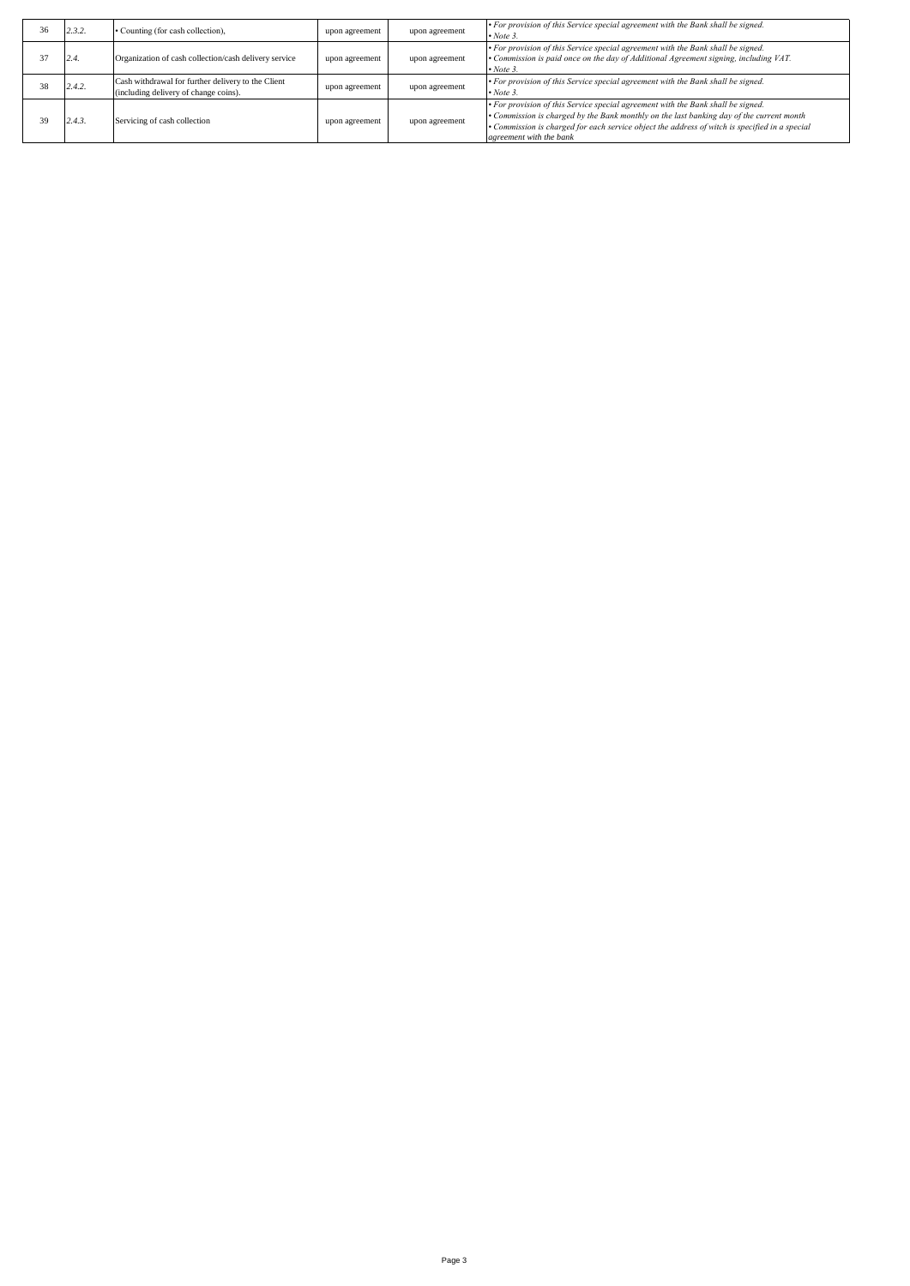| 36 | 2.3.2. | • Counting (for cash collection),                                                           | upon agreement | upon agreement | • For provision of this Service special agreement with the Bank shall be signed.<br>$\cdot$ Note 3.                                                                                                                                                                                                       |
|----|--------|---------------------------------------------------------------------------------------------|----------------|----------------|-----------------------------------------------------------------------------------------------------------------------------------------------------------------------------------------------------------------------------------------------------------------------------------------------------------|
|    | 2.4    | Organization of cash collection/cash delivery service                                       | upon agreement | upon agreement | • For provision of this Service special agreement with the Bank shall be signed.<br>• Commission is paid once on the day of Additional Agreement signing, including VAT.<br>$\cdot$ Note 3.                                                                                                               |
| 38 | 2.4.2. | Cash withdrawal for further delivery to the Client<br>(including delivery of change coins). | upon agreement | upon agreement | • For provision of this Service special agreement with the Bank shall be signed.<br>$\cdot$ Note 3.                                                                                                                                                                                                       |
|    | 2.4.3  | Servicing of cash collection                                                                | upon agreement | upon agreement | • For provision of this Service special agreement with the Bank shall be signed.<br>• Commission is charged by the Bank monthly on the last banking day of the current month<br>• Commission is charged for each service object the address of witch is specified in a special<br>agreement with the bank |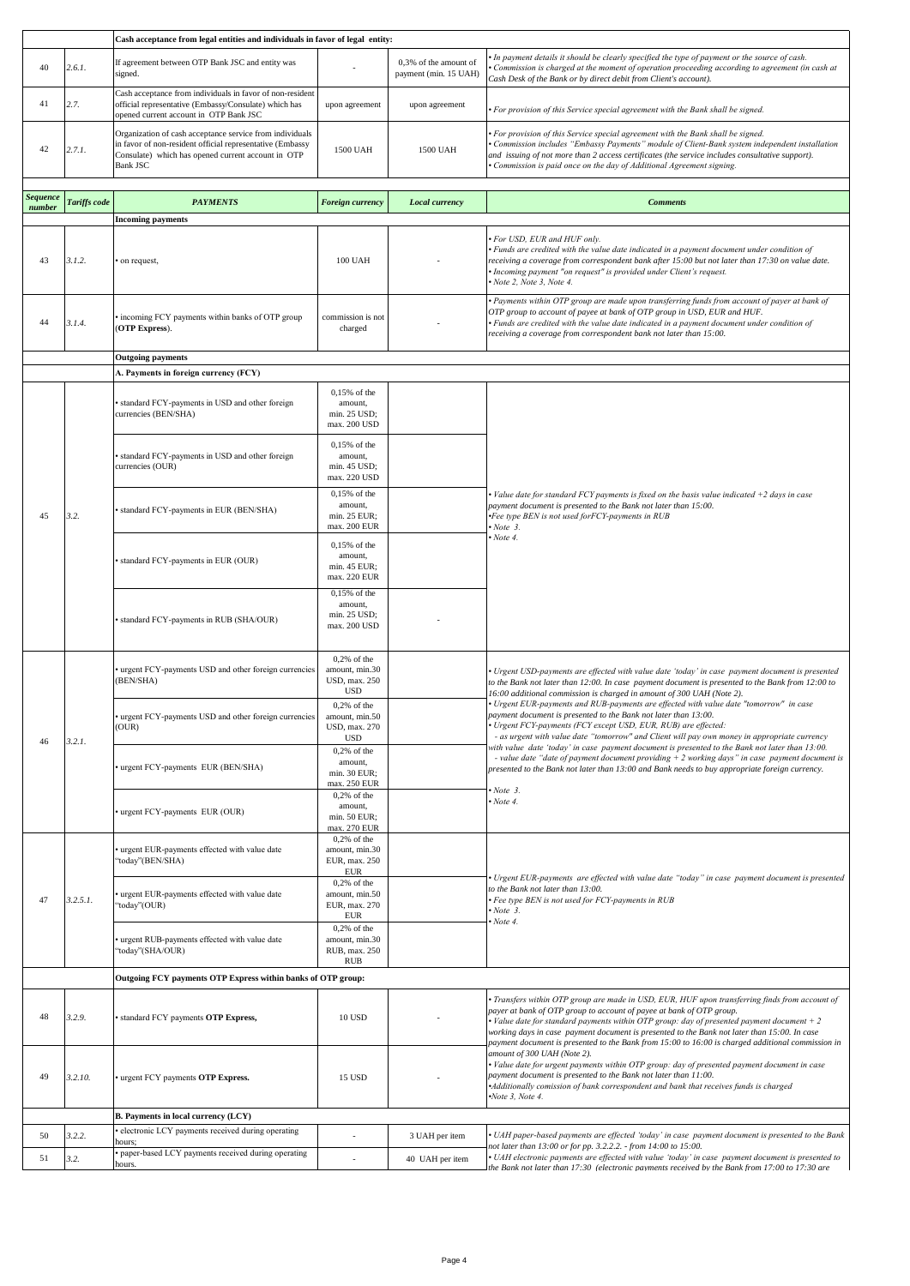|                 |              | Cash acceptance from legal entities and individuals in favor of legal entity:                                                                                                                  |                                                                           |                                                |                                                                                                                                                                                                                                                                                                                                                                                                                                                                            |  |
|-----------------|--------------|------------------------------------------------------------------------------------------------------------------------------------------------------------------------------------------------|---------------------------------------------------------------------------|------------------------------------------------|----------------------------------------------------------------------------------------------------------------------------------------------------------------------------------------------------------------------------------------------------------------------------------------------------------------------------------------------------------------------------------------------------------------------------------------------------------------------------|--|
| 40              | 2.6.1.       | If agreement between OTP Bank JSC and entity was<br>signed.                                                                                                                                    |                                                                           | 0,3% of the amount of<br>payment (min. 15 UAH) | In payment details it should be clearly specified the type of payment or the source of cash.<br>Commission is charged at the moment of operation proceeding according to agreement (in cash at<br>Cash Desk of the Bank or by direct debit from Client's account).                                                                                                                                                                                                         |  |
| 41              | 2.7.         | Cash acceptance from individuals in favor of non-resident<br>official representative (Embassy/Consulate) which has<br>opened current account in OTP Bank JSC                                   | upon agreement                                                            | upon agreement                                 | For provision of this Service special agreement with the Bank shall be signed.                                                                                                                                                                                                                                                                                                                                                                                             |  |
| 42              | 2.7.1.       | Organization of cash acceptance service from individuals<br>in favor of non-resident official representative (Embassy<br>Consulate) which has opened current account in OTP<br><b>Bank JSC</b> | 1500 UAH                                                                  | 1500 UAH                                       | For provision of this Service special agreement with the Bank shall be signed.<br>Commission includes "Embassy Payments" module of Client-Bank system independent installation<br>and issuing of not more than 2 access certificates (the service includes consultative support).<br>Commission is paid once on the day of Additional Agreement signing.                                                                                                                   |  |
| <b>Sequence</b> | Tariffs code | <b>PAYMENTS</b>                                                                                                                                                                                | Foreign currency                                                          | Local currency                                 | <b>Comments</b>                                                                                                                                                                                                                                                                                                                                                                                                                                                            |  |
| number          |              | <b>Incoming payments</b>                                                                                                                                                                       |                                                                           |                                                |                                                                                                                                                                                                                                                                                                                                                                                                                                                                            |  |
| 43              | 3.1.2.       | on request,                                                                                                                                                                                    | <b>100 UAH</b>                                                            |                                                | · For USD, EUR and HUF only.<br>• Funds are credited with the value date indicated in a payment document under condition of<br>receiving a coverage from correspondent bank after 15:00 but not later than 17:30 on value date.<br>Incoming payment "on request" is provided under Client's request.<br>Note 2, Note 3, Note 4.                                                                                                                                            |  |
| 44              | 3.1.4.       | incoming FCY payments within banks of OTP group<br>(OTP Express).                                                                                                                              | commission is not<br>charged                                              |                                                | • Payments within OTP group are made upon transferring funds from account of payer at bank of<br>OTP group to account of payee at bank of OTP group in USD, EUR and HUF.<br>• Funds are credited with the value date indicated in a payment document under condition of<br>receiving a coverage from correspondent bank not later than 15:00.                                                                                                                              |  |
|                 |              | <b>Outgoing payments</b>                                                                                                                                                                       |                                                                           |                                                |                                                                                                                                                                                                                                                                                                                                                                                                                                                                            |  |
|                 |              | A. Payments in foreign currency (FCY)                                                                                                                                                          |                                                                           |                                                |                                                                                                                                                                                                                                                                                                                                                                                                                                                                            |  |
|                 |              | standard FCY-payments in USD and other foreign<br>currencies (BEN/SHA)                                                                                                                         | 0,15% of the<br>amount.<br>min. 25 USD;<br>max. 200 USD                   |                                                |                                                                                                                                                                                                                                                                                                                                                                                                                                                                            |  |
|                 |              | standard FCY-payments in USD and other foreign<br>currencies (OUR)                                                                                                                             | 0,15% of the<br>amount,<br>min. 45 USD;<br>max. 220 USD                   |                                                |                                                                                                                                                                                                                                                                                                                                                                                                                                                                            |  |
| 45              | 3.2.         | standard FCY-payments in EUR (BEN/SHA)                                                                                                                                                         | 0,15% of the<br>amount,<br>min. 25 EUR;<br>max. 200 EUR                   |                                                | • Value date for standard FCY payments is fixed on the basis value indicated +2 days in case<br>payment document is presented to the Bank not later than 15:00.<br>Fee type BEN is not used forFCY-payments in RUB<br>$\cdot$ Note 3.                                                                                                                                                                                                                                      |  |
|                 |              | standard FCY-payments in EUR (OUR)                                                                                                                                                             | $0,15%$ of the<br>amount,<br>min. 45 EUR;<br>max. 220 EUR                 |                                                | $\cdot$ Note 4.                                                                                                                                                                                                                                                                                                                                                                                                                                                            |  |
|                 |              | standard FCY-payments in RUB (SHA/OUR)                                                                                                                                                         | 0,15% of the<br>amount,<br>min. 25 USD;<br>max. 200 USD                   |                                                |                                                                                                                                                                                                                                                                                                                                                                                                                                                                            |  |
|                 |              | urgent FCY-payments USD and other foreign currencies<br>(BEN/SHA)                                                                                                                              | $0,2%$ of the<br>amount, min.30<br>USD, max. 250<br><b>USD</b>            |                                                | · Urgent USD-payments are effected with value date 'today' in case payment document is presented<br>to the Bank not later than 12:00. In case payment document is presented to the Bank from 12:00 to<br>16:00 additional commission is charged in amount of 300 UAH (Note 2).                                                                                                                                                                                             |  |
| 46              | 3.2.1.       | urgent FCY-payments USD and other foreign currencies<br>(OUR)                                                                                                                                  | $0,2%$ of the<br>amount, min.50<br>USD, max. 270<br><b>USD</b>            |                                                | · Urgent EUR-payments and RUB-payments are effected with value date "tomorrow" in case<br>payment document is presented to the Bank not later than 13:00.<br>Urgent FCY-payments (FCY except USD, EUR, RUB) are effected:<br>- as urgent with value date "tomorrow" and Client will pay own money in appropriate currency<br>with value date 'today' in case payment document is presented to the Bank not later than 13:00.                                               |  |
|                 |              | urgent FCY-payments EUR (BEN/SHA)                                                                                                                                                              | $0,2%$ of the<br>amount,<br>min. 30 EUR;<br>max. 250 EUR<br>$0,2%$ of the |                                                | - value date "date of payment document providing $+2$ working days" in case payment document is<br>presented to the Bank not later than 13:00 and Bank needs to buy appropriate foreign currency.<br>$\cdot$ Note 3.                                                                                                                                                                                                                                                       |  |
|                 |              | urgent FCY-payments EUR (OUR)                                                                                                                                                                  | amount.<br>min. 50 EUR;<br>max. 270 EUR                                   |                                                | $\cdot$ Note 4.                                                                                                                                                                                                                                                                                                                                                                                                                                                            |  |
|                 |              | urgent EUR-payments effected with value date<br>'today"(BEN/SHA)                                                                                                                               | $0.2%$ of the<br>amount, min.30<br>EUR, max. 250<br><b>EUR</b>            |                                                | Urgent EUR-payments are effected with value date "today" in case payment document is presented                                                                                                                                                                                                                                                                                                                                                                             |  |
| 47              | $3.2.5.1$ .  | urgent EUR-payments effected with value date<br>'today''(OUR)                                                                                                                                  | $0,2%$ of the<br>amount, min.50<br>EUR, max. 270<br><b>EUR</b>            |                                                | to the Bank not later than 13:00.<br>· Fee type BEN is not used for FCY-payments in RUB<br>$\cdot$ Note 3.<br>• Note 4.                                                                                                                                                                                                                                                                                                                                                    |  |
|                 |              | urgent RUB-payments effected with value date<br>'today"(SHA/OUR)                                                                                                                               | $0,2%$ of the<br>amount, min.30<br>RUB, max. 250<br><b>RUB</b>            |                                                |                                                                                                                                                                                                                                                                                                                                                                                                                                                                            |  |
|                 |              | Outgoing FCY payments OTP Express within banks of OTP group:                                                                                                                                   |                                                                           |                                                |                                                                                                                                                                                                                                                                                                                                                                                                                                                                            |  |
| 48              | 3.2.9.       | standard FCY payments OTP Express,                                                                                                                                                             | <b>10 USD</b>                                                             |                                                | · Transfers within OTP group are made in USD, EUR, HUF upon transferring finds from account of<br>payer at bank of OTP group to account of payee at bank of OTP group.<br>• Value date for standard payments within OTP group: day of presented payment document $+2$<br>working days in case payment document is presented to the Bank not later than 15:00. In case<br>payment document is presented to the Bank from 15:00 to 16:00 is charged additional commission in |  |
| 49              | 3.2.10.      | urgent FCY payments OTP Express.                                                                                                                                                               | 15 USD                                                                    |                                                | amount of 300 UAH (Note 2).<br>· Value date for urgent payments within OTP group: day of presented payment document in case<br>payment document is presented to the Bank not later than 11:00.<br>Additionally comission of bank correspondent and bank that receives funds is charged<br>$\cdot$ Note 3, Note 4.                                                                                                                                                          |  |
|                 |              | B. Payments in local currency (LCY)                                                                                                                                                            |                                                                           |                                                |                                                                                                                                                                                                                                                                                                                                                                                                                                                                            |  |
| 50              | 3.2.2.       | electronic LCY payments received during operating<br>hours;                                                                                                                                    |                                                                           | 3 UAH per item                                 | • UAH paper-based payments are effected 'today' in case payment document is presented to the Bank                                                                                                                                                                                                                                                                                                                                                                          |  |
| 51              | 3.2.         | paper-based LCY payments received during operating<br>hours.                                                                                                                                   | ÷,                                                                        | 40 UAH per item                                | not later than 13:00 or for pp. 3.2.2.2. - from 14:00 to 15:00.<br>• UAH electronic payments are effected with value 'today' in case payment document is presented to<br>the Bank not later than 17:30 (electronic payments received by the Bank from 17:00 to 17:30 are                                                                                                                                                                                                   |  |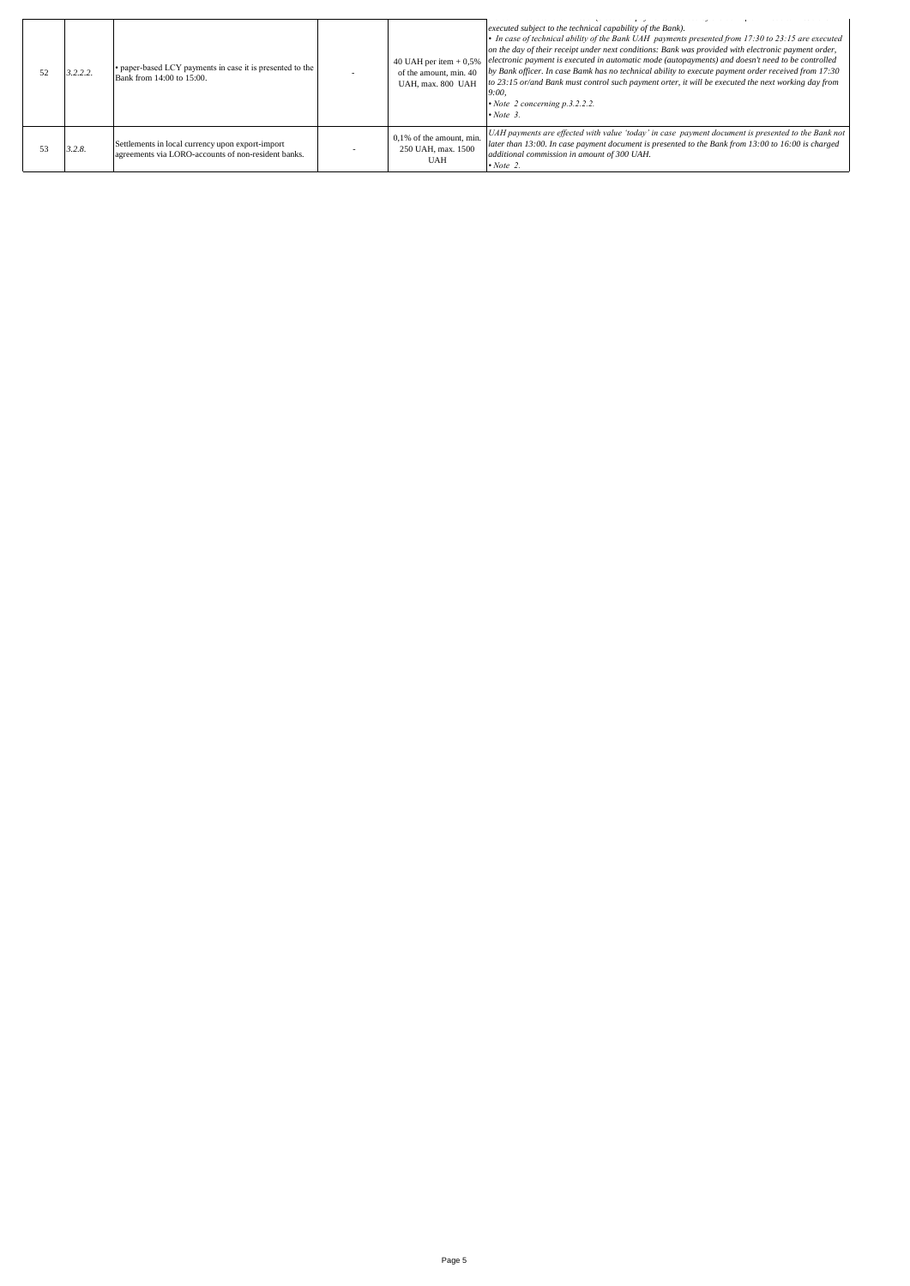| 3.2.2.2. | • paper-based LCY payments in case it is presented to the<br>Bank from 14:00 to 15:00.                  | 40 UAH per item $+0.5%$<br>of the amount, min. 40<br>UAH, max. 800 UAH | executed subject to the technical capability of the Bank).<br>• In case of technical ability of the Bank UAH payments presented from 17:30 to 23:15 are executed<br>on the day of their receipt under next conditions: Bank was provided with electronic payment order,<br>electronic payment is executed in automatic mode (autopayments) and doesn't need to be controlled<br>by Bank officer. In case Bamk has no technical ability to execute payment order received from 17:30<br>to 23:15 or/and Bank must control such payment orter, it will be executed the next working day from<br>9:00.<br>$\cdot$ Note 2 concerning p.3.2.2.2.<br>$\cdot$ Note 3. |
|----------|---------------------------------------------------------------------------------------------------------|------------------------------------------------------------------------|----------------------------------------------------------------------------------------------------------------------------------------------------------------------------------------------------------------------------------------------------------------------------------------------------------------------------------------------------------------------------------------------------------------------------------------------------------------------------------------------------------------------------------------------------------------------------------------------------------------------------------------------------------------|
| 3.2.8.   | Settlements in local currency upon export-import<br>agreements via LORO-accounts of non-resident banks. | $0,1%$ of the amount, min.<br>250 UAH, max. 1500<br><b>UAH</b>         | UAH payments are effected with value 'today' in case payment document is presented to the Bank not<br>later than 13:00. In case payment document is presented to the Bank from 13:00 to 16:00 is charged<br>additional commission in amount of 300 UAH.<br>$\cdot$ Note 2.                                                                                                                                                                                                                                                                                                                                                                                     |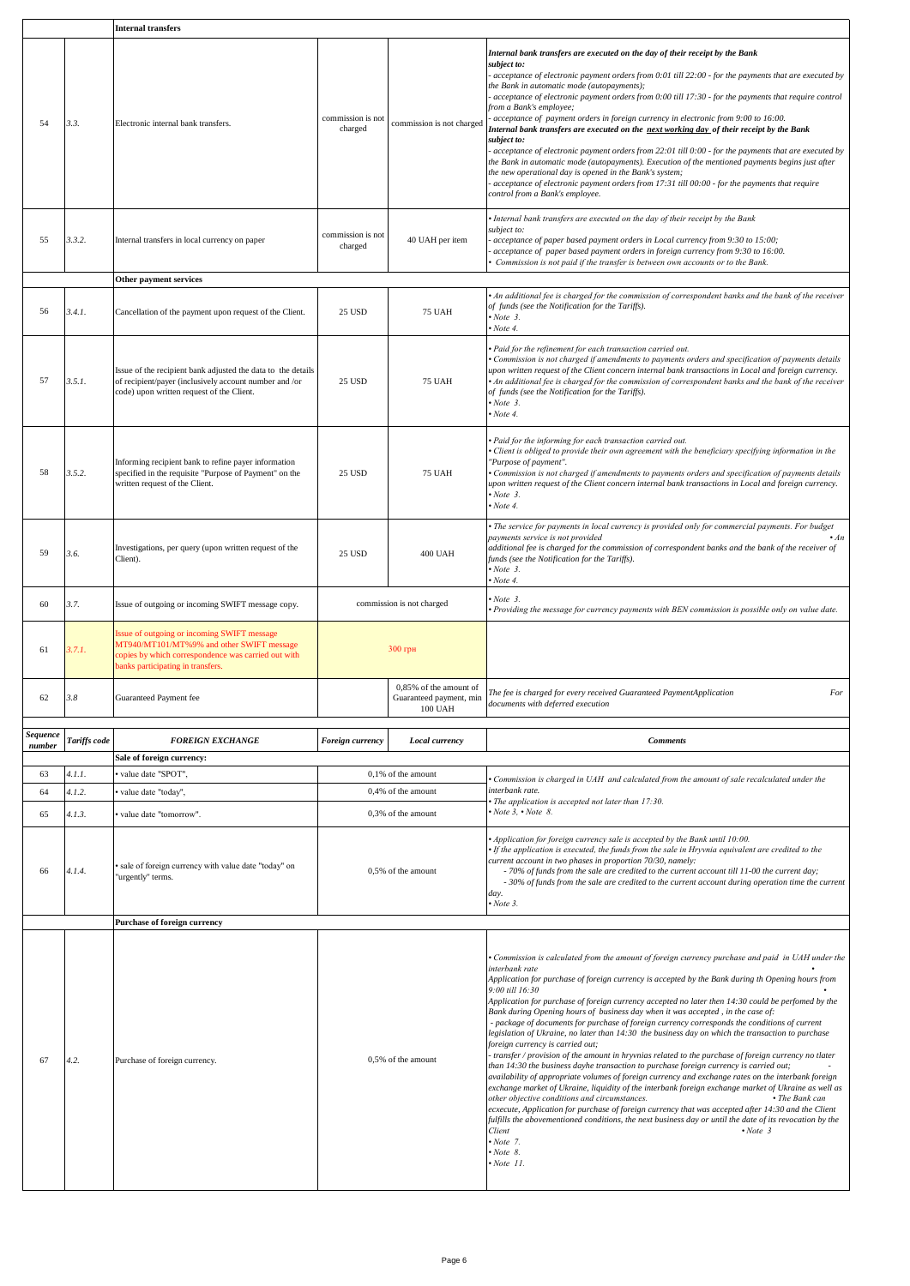|                    |              | <b>Internal transfers</b>                                                                                                                                                            |                              |                                                              |                                                                                                                                                                                                                                                                                                                                                                                                                                                                                                                                                                                                                                                                                                                                                                                                                                                                                                                                                                                                                                                                                                                                                                                                                                                                                                                                                                                                                                                                               |
|--------------------|--------------|--------------------------------------------------------------------------------------------------------------------------------------------------------------------------------------|------------------------------|--------------------------------------------------------------|-------------------------------------------------------------------------------------------------------------------------------------------------------------------------------------------------------------------------------------------------------------------------------------------------------------------------------------------------------------------------------------------------------------------------------------------------------------------------------------------------------------------------------------------------------------------------------------------------------------------------------------------------------------------------------------------------------------------------------------------------------------------------------------------------------------------------------------------------------------------------------------------------------------------------------------------------------------------------------------------------------------------------------------------------------------------------------------------------------------------------------------------------------------------------------------------------------------------------------------------------------------------------------------------------------------------------------------------------------------------------------------------------------------------------------------------------------------------------------|
| 54                 | 3.3.         | Electronic internal bank transfers.                                                                                                                                                  | commission is not<br>charged | commission is not charged                                    | Internal bank transfers are executed on the day of their receipt by the Bank<br>subject to:<br>acceptance of electronic payment orders from 0:01 till 22:00 - for the payments that are executed by<br>the Bank in automatic mode (autopayments);<br>acceptance of electronic payment orders from 0:00 till 17:30 - for the payments that require control<br>from a Bank's employee;<br>acceptance of payment orders in foreign currency in electronic from 9:00 to 16:00.<br>Internal bank transfers are executed on the <u>next working day</u> of their receipt by the Bank<br>subject to:<br>acceptance of electronic payment orders from 22:01 till 0:00 - for the payments that are executed by<br>the Bank in automatic mode (autopayments). Execution of the mentioned payments begins just after<br>the new operational day is opened in the Bank's system;<br>acceptance of electronic payment orders from 17:31 till 00:00 - for the payments that require<br>control from a Bank's employee.                                                                                                                                                                                                                                                                                                                                                                                                                                                                      |
| 55                 | 3.3.2.       | Internal transfers in local currency on paper                                                                                                                                        | commission is not<br>charged | 40 UAH per item                                              | · Internal bank transfers are executed on the day of their receipt by the Bank<br>subject to:<br>acceptance of paper based payment orders in Local currency from 9:30 to 15:00;<br>acceptance of paper based payment orders in foreign currency from 9:30 to 16:00.<br>Commission is not paid if the transfer is between own accounts or to the Bank.                                                                                                                                                                                                                                                                                                                                                                                                                                                                                                                                                                                                                                                                                                                                                                                                                                                                                                                                                                                                                                                                                                                         |
|                    |              | Other payment services                                                                                                                                                               |                              |                                                              |                                                                                                                                                                                                                                                                                                                                                                                                                                                                                                                                                                                                                                                                                                                                                                                                                                                                                                                                                                                                                                                                                                                                                                                                                                                                                                                                                                                                                                                                               |
| 56                 | 3.4.1.       | Cancellation of the payment upon request of the Client.                                                                                                                              | 25 USD                       | <b>75 UAH</b>                                                | An additional fee is charged for the commission of correspondent banks and the bank of the receiver<br>of funds (see the Notification for the Tariffs).<br>Note 3.<br>$Now$ Note 4.                                                                                                                                                                                                                                                                                                                                                                                                                                                                                                                                                                                                                                                                                                                                                                                                                                                                                                                                                                                                                                                                                                                                                                                                                                                                                           |
| 57                 | 3.5.1.       | Issue of the recipient bank adjusted the data to the details<br>of recipient/payer (inclusively account number and /or<br>code) upon written request of the Client.                  | <b>25 USD</b>                | <b>75 UAH</b>                                                | · Paid for the refinement for each transaction carried out.<br>• Commission is not charged if amendments to payments orders and specification of payments details<br>upon written request of the Client concern internal bank transactions in Local and foreign currency.<br>An additional fee is charged for the commission of correspondent banks and the bank of the receiver<br>of funds (see the Notification for the Tariffs).<br>$\cdot$ Note 3.<br>Note 4.                                                                                                                                                                                                                                                                                                                                                                                                                                                                                                                                                                                                                                                                                                                                                                                                                                                                                                                                                                                                            |
| 58                 | 3.5.2.       | Informing recipient bank to refine payer information<br>specified in the requisite "Purpose of Payment" on the<br>written request of the Client.                                     | 25 USD                       | <b>75 UAH</b>                                                | Paid for the informing for each transaction carried out.<br>Client is obliged to provide their own agreement with the beneficiary specifying information in the<br>"Purpose of payment".<br>Commission is not charged if amendments to payments orders and specification of payments details<br>upon written request of the Client concern internal bank transactions in Local and foreign currency.<br>$\cdot$ Note 3.<br>$\cdot$ Note 4.                                                                                                                                                                                                                                                                                                                                                                                                                                                                                                                                                                                                                                                                                                                                                                                                                                                                                                                                                                                                                                    |
| 59                 | 3.6.         | Investigations, per query (upon written request of the<br>Client).                                                                                                                   | <b>25 USD</b>                | <b>400 UAH</b>                                               | · The service for payments in local currency is provided only for commercial payments. For budget<br>payments service is not provided<br>$\cdot$ An<br>additional fee is charged for the commission of correspondent banks and the bank of the receiver of<br>funds (see the Notification for the Tariffs).<br>Now be 3.<br>$Now$ Note 4.                                                                                                                                                                                                                                                                                                                                                                                                                                                                                                                                                                                                                                                                                                                                                                                                                                                                                                                                                                                                                                                                                                                                     |
| 60                 | 3.7.         | Issue of outgoing or incoming SWIFT message copy.                                                                                                                                    | commission is not charged    |                                                              | Note 3.<br>Providing the message for currency payments with BEN commission is possible only on value date.                                                                                                                                                                                                                                                                                                                                                                                                                                                                                                                                                                                                                                                                                                                                                                                                                                                                                                                                                                                                                                                                                                                                                                                                                                                                                                                                                                    |
| 61                 | 3.7.1        | issue of outgoing or incoming SWIFT message<br>MT940/MT101/MT%9% and other SWIFT message<br>copies by which correspondence was carried out with<br>panks participating in transfers. | 300 грн                      |                                                              |                                                                                                                                                                                                                                                                                                                                                                                                                                                                                                                                                                                                                                                                                                                                                                                                                                                                                                                                                                                                                                                                                                                                                                                                                                                                                                                                                                                                                                                                               |
| 62                 | 3.8          | Guaranteed Payment fee                                                                                                                                                               |                              | 0,85% of the amount of<br>Guaranteed payment, min<br>100 UAH | The fee is charged for every received Guaranteed PaymentApplication<br>For<br>documents with deferred execution                                                                                                                                                                                                                                                                                                                                                                                                                                                                                                                                                                                                                                                                                                                                                                                                                                                                                                                                                                                                                                                                                                                                                                                                                                                                                                                                                               |
| Sequence<br>number | Tariffs code | <b>FOREIGN EXCHANGE</b>                                                                                                                                                              | Foreign currency             | Local currency                                               | <b>Comments</b>                                                                                                                                                                                                                                                                                                                                                                                                                                                                                                                                                                                                                                                                                                                                                                                                                                                                                                                                                                                                                                                                                                                                                                                                                                                                                                                                                                                                                                                               |
|                    |              | Sale of foreign currency:                                                                                                                                                            |                              |                                                              |                                                                                                                                                                                                                                                                                                                                                                                                                                                                                                                                                                                                                                                                                                                                                                                                                                                                                                                                                                                                                                                                                                                                                                                                                                                                                                                                                                                                                                                                               |
| 63                 | 4.1.1.       | value date "SPOT",                                                                                                                                                                   |                              | 0,1% of the amount                                           |                                                                                                                                                                                                                                                                                                                                                                                                                                                                                                                                                                                                                                                                                                                                                                                                                                                                                                                                                                                                                                                                                                                                                                                                                                                                                                                                                                                                                                                                               |
|                    |              |                                                                                                                                                                                      |                              |                                                              | Commission is charged in UAH and calculated from the amount of sale recalculated under the<br>interbank rate.                                                                                                                                                                                                                                                                                                                                                                                                                                                                                                                                                                                                                                                                                                                                                                                                                                                                                                                                                                                                                                                                                                                                                                                                                                                                                                                                                                 |
| 64                 | 4.1.2.       | value date "today",                                                                                                                                                                  |                              | 0,4% of the amount                                           | · The application is accepted not later than 17:30.                                                                                                                                                                                                                                                                                                                                                                                                                                                                                                                                                                                                                                                                                                                                                                                                                                                                                                                                                                                                                                                                                                                                                                                                                                                                                                                                                                                                                           |
| 65                 | 4.1.3.       | value date "tomorrow".                                                                                                                                                               |                              | 0,3% of the amount                                           | $\cdot$ Note 3, $\cdot$ Note 8.                                                                                                                                                                                                                                                                                                                                                                                                                                                                                                                                                                                                                                                                                                                                                                                                                                                                                                                                                                                                                                                                                                                                                                                                                                                                                                                                                                                                                                               |
| 66                 | 4.1.4.       | sale of foreign currency with value date "today" on<br>"urgently" terms.                                                                                                             |                              | 0,5% of the amount                                           | Application for foreign currency sale is accepted by the Bank until 10:00.<br>If the application is executed, the funds from the sale in Hryvnia equivalent are credited to the<br>current account in two phases in proportion 70/30, namely:<br>- 70% of funds from the sale are credited to the current account till 11-00 the current day;<br>- 30% of funds from the sale are credited to the current account during operation time the current<br>day.<br>$\cdot$ Note 3.                                                                                                                                                                                                                                                                                                                                                                                                                                                                                                                                                                                                                                                                                                                                                                                                                                                                                                                                                                                                |
|                    |              | Purchase of foreign currency                                                                                                                                                         |                              |                                                              |                                                                                                                                                                                                                                                                                                                                                                                                                                                                                                                                                                                                                                                                                                                                                                                                                                                                                                                                                                                                                                                                                                                                                                                                                                                                                                                                                                                                                                                                               |
| 67                 | 4.2.         | Purchase of foreign currency.                                                                                                                                                        | 0,5% of the amount           |                                                              | • Commission is calculated from the amount of foreign currency purchase and paid in UAH under the<br>interbank rate<br>Application for purchase of foreign currency is accepted by the Bank during th Opening hours from<br>9:00 till 16:30<br>Application for purchase of foreign currency accepted no later then 14:30 could be perfomed by the<br>Bank during Opening hours of business day when it was accepted, in the case of:<br>- package of documents for purchase of foreign currency corresponds the conditions of current<br>legislation of Ukraine, no later than 14:30 the business day on which the transaction to purchase<br>foreign currency is carried out;<br>- transfer / provision of the amount in hryvnias related to the purchase of foreign currency no tlater<br>than 14:30 the business dayhe transaction to purchase foreign currency is carried out;<br>availability of appropriate volumes of foreign currency and exchange rates on the interbank foreign<br>exchange market of Ukraine, liquidity of the interbank foreign exchange market of Ukraine as well as<br>other objective conditions and circumstances.<br>• The Bank can<br>ecxecute, Application for purchase of foreign currency that was accepted after 14:30 and the Client<br>fulfills the abovementioned conditions, the next business day or until the date of its revocation by the<br>Client<br>$\cdot$ Note 3<br>$\cdot$ Note 7.<br>$\cdot$ Note 8.<br>$\cdot$ Note 11. |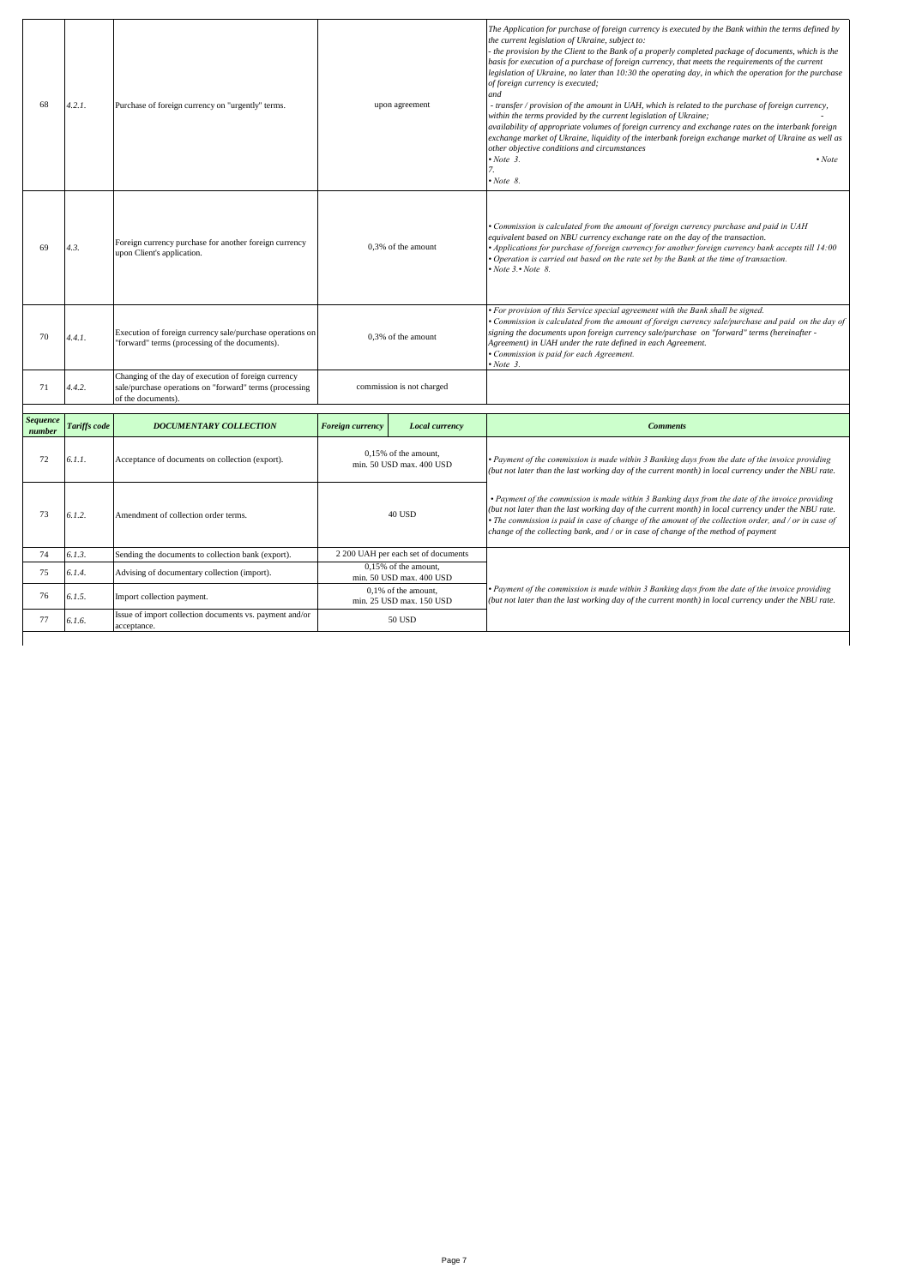| 68                        | 4.2.1.       | Purchase of foreign currency on "urgently" terms.                                                                                     | upon agreement          |                                                  | The Application for purchase of foreign currency is executed by the Bank within the terms defined by<br>the current legislation of Ukraine, subject to:<br>- the provision by the Client to the Bank of a properly completed package of documents, which is the<br>basis for execution of a purchase of foreign currency, that meets the requirements of the current<br>legislation of Ukraine, no later than 10:30 the operating day, in which the operation for the purchase<br>of foreign currency is executed;<br>and<br>- transfer / provision of the amount in UAH, which is related to the purchase of foreign currency,<br>within the terms provided by the current legislation of Ukraine;<br>availability of appropriate volumes of foreign currency and exchange rates on the interbank foreign<br>exchange market of Ukraine, liquidity of the interbank foreign exchange market of Ukraine as well as<br>other objective conditions and circumstances<br>$\cdot$ Note 3.<br>$\cdot$ Note<br>7.<br>$\cdot$ Note 8. |
|---------------------------|--------------|---------------------------------------------------------------------------------------------------------------------------------------|-------------------------|--------------------------------------------------|--------------------------------------------------------------------------------------------------------------------------------------------------------------------------------------------------------------------------------------------------------------------------------------------------------------------------------------------------------------------------------------------------------------------------------------------------------------------------------------------------------------------------------------------------------------------------------------------------------------------------------------------------------------------------------------------------------------------------------------------------------------------------------------------------------------------------------------------------------------------------------------------------------------------------------------------------------------------------------------------------------------------------------|
| 69                        | 4.3.         | Foreign currency purchase for another foreign currency<br>upon Client's application.                                                  | 0,3% of the amount      |                                                  | • Commission is calculated from the amount of foreign currency purchase and paid in UAH<br>equivalent based on NBU currency exchange rate on the day of the transaction.<br>• Applications for purchase of foreign currency for another foreign currency bank accepts till 14:00<br>• Operation is carried out based on the rate set by the Bank at the time of transaction.<br>$\cdot$ Note 3. $\cdot$ Note 8.                                                                                                                                                                                                                                                                                                                                                                                                                                                                                                                                                                                                                |
| 70                        | 4.4.1.       | Execution of foreign currency sale/purchase operations on<br>"forward" terms (processing of the documents).                           | 0,3% of the amount      |                                                  | • For provision of this Service special agreement with the Bank shall be signed.<br>Commission is calculated from the amount of foreign currency sale/purchase and paid on the day of<br>signing the documents upon foreign currency sale/purchase on "forward" terms (hereinafter -<br>Agreement) in UAH under the rate defined in each Agreement.<br>· Commission is paid for each Agreement.<br>$\cdot$ Note 3.                                                                                                                                                                                                                                                                                                                                                                                                                                                                                                                                                                                                             |
| 71                        | 4.4.2.       | Changing of the day of execution of foreign currency<br>sale/purchase operations on "forward" terms (processing<br>of the documents). |                         | commission is not charged                        |                                                                                                                                                                                                                                                                                                                                                                                                                                                                                                                                                                                                                                                                                                                                                                                                                                                                                                                                                                                                                                |
| <b>Sequence</b><br>number | Tariffs code | <b>DOCUMENTARY COLLECTION</b>                                                                                                         | <b>Foreign currency</b> | Local currency                                   | <b>Comments</b>                                                                                                                                                                                                                                                                                                                                                                                                                                                                                                                                                                                                                                                                                                                                                                                                                                                                                                                                                                                                                |
| 72                        | 6.1.1.       | Acceptance of documents on collection (export).                                                                                       |                         | 0,15% of the amount,<br>min. 50 USD max. 400 USD | • Payment of the commission is made within 3 Banking days from the date of the invoice providing<br>(but not later than the last working day of the current month) in local currency under the NBU rate.                                                                                                                                                                                                                                                                                                                                                                                                                                                                                                                                                                                                                                                                                                                                                                                                                       |
| 73                        | 6.1.2.       | Amendment of collection order terms.                                                                                                  | 40 USD                  |                                                  | • Payment of the commission is made within 3 Banking days from the date of the invoice providing<br>(but not later than the last working day of the current month) in local currency under the NBU rate.<br>$\bullet$ The commission is paid in case of change of the amount of the collection order, and / or in case of<br>change of the collecting bank, and / or in case of change of the method of payment                                                                                                                                                                                                                                                                                                                                                                                                                                                                                                                                                                                                                |
| 74                        | 6.1.3.       | Sending the documents to collection bank (export).                                                                                    |                         | 2 200 UAH per each set of documents              |                                                                                                                                                                                                                                                                                                                                                                                                                                                                                                                                                                                                                                                                                                                                                                                                                                                                                                                                                                                                                                |
| 75                        | 6.1.4.       | Advising of documentary collection (import).                                                                                          |                         | 0.15% of the amount.<br>min. 50 USD max. 400 USD |                                                                                                                                                                                                                                                                                                                                                                                                                                                                                                                                                                                                                                                                                                                                                                                                                                                                                                                                                                                                                                |
| 76                        | 6.1.5.       | Import collection payment.                                                                                                            |                         | 0,1% of the amount,<br>min. 25 USD max. 150 USD  | • Payment of the commission is made within 3 Banking days from the date of the invoice providing<br>(but not later than the last working day of the current month) in local currency under the NBU rate.                                                                                                                                                                                                                                                                                                                                                                                                                                                                                                                                                                                                                                                                                                                                                                                                                       |
|                           |              | Issue of import collection documents vs. payment and/or                                                                               |                         |                                                  |                                                                                                                                                                                                                                                                                                                                                                                                                                                                                                                                                                                                                                                                                                                                                                                                                                                                                                                                                                                                                                |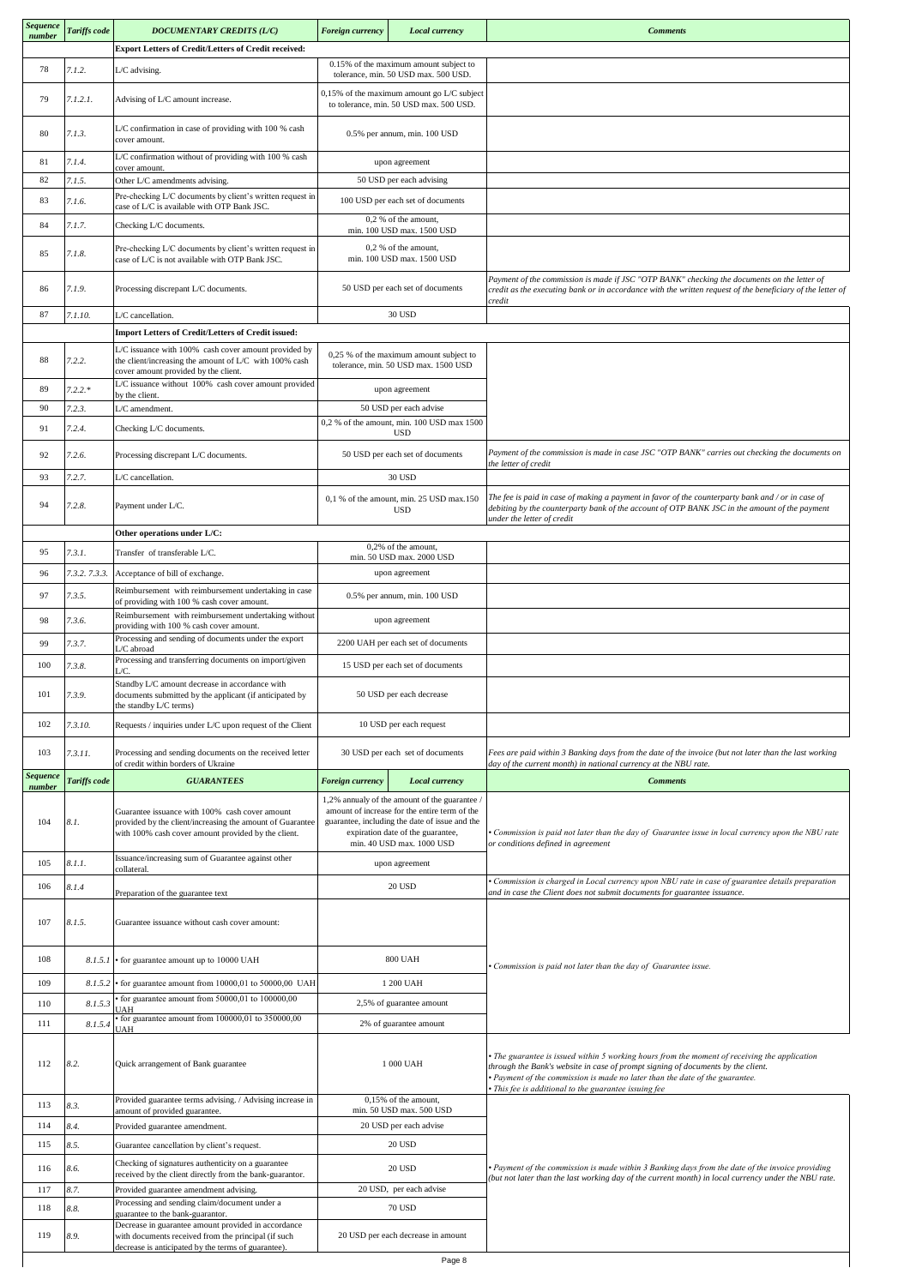| <b>Sequence</b><br>number | Tariffs code  | <b>DOCUMENTARY CREDITS (L/C)</b>                                                                                                                                   | Foreign currency<br>Local currency               |                                                                                                                                                                                                                  | <b>Comments</b>                                                                                                                                                                                                                                                                                                            |
|---------------------------|---------------|--------------------------------------------------------------------------------------------------------------------------------------------------------------------|--------------------------------------------------|------------------------------------------------------------------------------------------------------------------------------------------------------------------------------------------------------------------|----------------------------------------------------------------------------------------------------------------------------------------------------------------------------------------------------------------------------------------------------------------------------------------------------------------------------|
|                           |               | Export Letters of Credit/Letters of Credit received:                                                                                                               |                                                  |                                                                                                                                                                                                                  |                                                                                                                                                                                                                                                                                                                            |
| 78                        | 7.1.2.        | L/C advising.                                                                                                                                                      |                                                  | 0.15% of the maximum amount subject to<br>tolerance, min. 50 USD max. 500 USD.                                                                                                                                   |                                                                                                                                                                                                                                                                                                                            |
| 79                        | 7.1.2.1.      | Advising of L/C amount increase.                                                                                                                                   |                                                  | $0,15%$ of the maximum amount go L/C subject<br>to tolerance, min. 50 USD max. 500 USD.                                                                                                                          |                                                                                                                                                                                                                                                                                                                            |
| 80                        | 7.1.3.        | L/C confirmation in case of providing with 100 % cash<br>cover amount.                                                                                             | 0.5% per annum, min. 100 USD                     |                                                                                                                                                                                                                  |                                                                                                                                                                                                                                                                                                                            |
| 81                        | 7.1.4.        | L/C confirmation without of providing with 100 % cash<br>cover amount.                                                                                             |                                                  | upon agreement                                                                                                                                                                                                   |                                                                                                                                                                                                                                                                                                                            |
| 82                        | 7.1.5.        | Other L/C amendments advising.                                                                                                                                     |                                                  | 50 USD per each advising                                                                                                                                                                                         |                                                                                                                                                                                                                                                                                                                            |
| 83                        | 7.1.6.        | Pre-checking L/C documents by client's written request in<br>case of L/C is available with OTP Bank JSC.                                                           |                                                  | 100 USD per each set of documents                                                                                                                                                                                |                                                                                                                                                                                                                                                                                                                            |
| 84                        | 7.1.7.        | Checking L/C documents.                                                                                                                                            |                                                  | 0,2 % of the amount,<br>min. 100 USD max. 1500 USD                                                                                                                                                               |                                                                                                                                                                                                                                                                                                                            |
| 85                        | 7.1.8.        | Pre-checking L/C documents by client's written request in<br>case of L/C is not available with OTP Bank JSC.                                                       |                                                  | 0,2 % of the amount,<br>min. 100 USD max. 1500 USD                                                                                                                                                               |                                                                                                                                                                                                                                                                                                                            |
| 86                        | 7.1.9.        | Processing discrepant L/C documents.                                                                                                                               |                                                  | 50 USD per each set of documents                                                                                                                                                                                 | Payment of the commission is made if JSC "OTP BANK" checking the documents on the letter of<br>credit as the executing bank or in accordance with the written request of the beneficiary of the letter of<br>credit                                                                                                        |
| 87                        | 7.1.10.       | L/C cancellation.                                                                                                                                                  |                                                  | 30 USD                                                                                                                                                                                                           |                                                                                                                                                                                                                                                                                                                            |
|                           |               | Import Letters of Credit/Letters of Credit issued:<br>L/C issuance with 100% cash cover amount provided by                                                         |                                                  |                                                                                                                                                                                                                  |                                                                                                                                                                                                                                                                                                                            |
| 88                        | 7.2.2.        | the client/increasing the amount of L/C with 100% cash<br>cover amount provided by the client.                                                                     |                                                  | 0,25 % of the maximum amount subject to<br>tolerance, min. 50 USD max. 1500 USD                                                                                                                                  |                                                                                                                                                                                                                                                                                                                            |
| 89                        | $7.2.2.*$     | L/C issuance without 100% cash cover amount provided<br>by the client.                                                                                             |                                                  | upon agreement                                                                                                                                                                                                   |                                                                                                                                                                                                                                                                                                                            |
| 90                        | 7.2.3.        | L/C amendment.                                                                                                                                                     |                                                  | 50 USD per each advise<br>0,2 % of the amount, min. 100 USD max 1500                                                                                                                                             |                                                                                                                                                                                                                                                                                                                            |
| 91                        | 7.2.4.        | Checking L/C documents.                                                                                                                                            |                                                  | <b>USD</b>                                                                                                                                                                                                       |                                                                                                                                                                                                                                                                                                                            |
| 92                        | 7.2.6.        | Processing discrepant L/C documents.                                                                                                                               |                                                  | 50 USD per each set of documents                                                                                                                                                                                 | Payment of the commission is made in case JSC "OTP BANK" carries out checking the documents on<br>the letter of credit                                                                                                                                                                                                     |
| 93                        | 7.2.7.        | L/C cancellation.                                                                                                                                                  |                                                  | 30 USD                                                                                                                                                                                                           |                                                                                                                                                                                                                                                                                                                            |
| 94                        | 7.2.8.        | Payment under L/C.                                                                                                                                                 |                                                  | 0,1 % of the amount, min. 25 USD max.150<br><b>USD</b>                                                                                                                                                           | The fee is paid in case of making a payment in favor of the counterparty bank and / or in case of<br>debiting by the counterparty bank of the account of OTP BANK JSC in the amount of the payment<br>under the letter of credit                                                                                           |
|                           |               | Other operations under L/C:                                                                                                                                        | 0,2% of the amount,                              |                                                                                                                                                                                                                  |                                                                                                                                                                                                                                                                                                                            |
| 95                        | 7.3.1.        | Transfer of transferable L/C.                                                                                                                                      |                                                  | min. 50 USD max. 2000 USD                                                                                                                                                                                        |                                                                                                                                                                                                                                                                                                                            |
| 96                        | 7.3.2. 7.3.3. | Acceptance of bill of exchange.                                                                                                                                    | upon agreement                                   |                                                                                                                                                                                                                  |                                                                                                                                                                                                                                                                                                                            |
| 97                        | 7.3.5.        | Reimbursement with reimbursement undertaking in case<br>of providing with 100 % cash cover amount.                                                                 | 0.5% per annum, min. 100 USD                     |                                                                                                                                                                                                                  |                                                                                                                                                                                                                                                                                                                            |
| 98                        | 7.3.6.        | Reimbursement with reimbursement undertaking without<br>providing with 100 % cash cover amount.                                                                    | upon agreement                                   |                                                                                                                                                                                                                  |                                                                                                                                                                                                                                                                                                                            |
| 99                        | 7.3.7.        | Processing and sending of documents under the export<br>C abroad                                                                                                   |                                                  | 2200 UAH per each set of documents                                                                                                                                                                               |                                                                                                                                                                                                                                                                                                                            |
| 100                       | 7.3.8.        | Processing and transferring documents on import/given<br>IC.                                                                                                       |                                                  | 15 USD per each set of documents                                                                                                                                                                                 |                                                                                                                                                                                                                                                                                                                            |
| 101                       | 7.3.9.        | Standby L/C amount decrease in accordance with<br>documents submitted by the applicant (if anticipated by<br>the standby L/C terms)                                |                                                  | 50 USD per each decrease                                                                                                                                                                                         |                                                                                                                                                                                                                                                                                                                            |
| 102                       | 7.3.10.       | Requests / inquiries under L/C upon request of the Client                                                                                                          |                                                  | 10 USD per each request                                                                                                                                                                                          |                                                                                                                                                                                                                                                                                                                            |
| 103                       | 7.3.11.       | Processing and sending documents on the received letter<br>of credit within borders of Ukraine                                                                     |                                                  | 30 USD per each set of documents                                                                                                                                                                                 | Fees are paid within 3 Banking days from the date of the invoice (but not later than the last working<br>day of the current month) in national currency at the NBU rate.                                                                                                                                                   |
| <b>Sequence</b><br>number | Tariffs code  | <b>GUARANTEES</b>                                                                                                                                                  | Foreign currency                                 | <b>Local currency</b>                                                                                                                                                                                            | <b>Comments</b>                                                                                                                                                                                                                                                                                                            |
| 104                       | 8.1.          | Guarantee issuance with 100% cash cover amount<br>provided by the client/increasing the amount of Guarantee<br>with 100% cash cover amount provided by the client. |                                                  | 1,2% annualy of the amount of the guarantee<br>amount of increase for the entire term of the<br>guarantee, including the date of issue and the<br>expiration date of the guarantee,<br>min. 40 USD max. 1000 USD | Commission is paid not later than the day of Guarantee issue in local currency upon the NBU rate<br>or conditions defined in agreement                                                                                                                                                                                     |
| 105                       | 8.1.1.        | Issuance/increasing sum of Guarantee against other<br>collateral.                                                                                                  |                                                  | upon agreement                                                                                                                                                                                                   |                                                                                                                                                                                                                                                                                                                            |
| 106                       | 8.1.4         | Preparation of the guarantee text                                                                                                                                  |                                                  | 20 USD                                                                                                                                                                                                           | Commission is charged in Local currency upon NBU rate in case of guarantee details preparation<br>and in case the Client does not submit documents for guarantee issuance.                                                                                                                                                 |
| 107                       | 8.1.5.        | Guarantee issuance without cash cover amount:                                                                                                                      |                                                  |                                                                                                                                                                                                                  |                                                                                                                                                                                                                                                                                                                            |
| 108                       |               | 8.1.5.1 • for guarantee amount up to 10000 UAH                                                                                                                     |                                                  | <b>800 UAH</b>                                                                                                                                                                                                   | Commission is paid not later than the day of Guarantee issue.                                                                                                                                                                                                                                                              |
| 109                       | 8.1.5.2       | • for guarantee amount from 10000,01 to 50000,00 UAH                                                                                                               |                                                  | 1 200 UAH                                                                                                                                                                                                        |                                                                                                                                                                                                                                                                                                                            |
| 110                       | 8.1.5.3       | for guarantee amount from 50000,01 to 100000,00<br>JAH                                                                                                             |                                                  | 2,5% of guarantee amount                                                                                                                                                                                         |                                                                                                                                                                                                                                                                                                                            |
| 111                       | 8.1.5.4       | for guarantee amount from 100000,01 to 350000,00<br>UAH                                                                                                            |                                                  | 2% of guarantee amount                                                                                                                                                                                           |                                                                                                                                                                                                                                                                                                                            |
| 112                       | 8.2.          | Quick arrangement of Bank guarantee                                                                                                                                | 1 000 UAH                                        |                                                                                                                                                                                                                  | • The guarantee is issued within 5 working hours from the moment of receiving the application<br>through the Bank's website in case of prompt signing of documents by the client.<br>• Payment of the commission is made no later than the date of the guarantee.<br>· This fee is additional to the guarantee issuing fee |
| 113                       | 8.3.          | Provided guarantee terms advising. / Advising increase in<br>amount of provided guarantee.                                                                         | 0,15% of the amount,<br>min. 50 USD max. 500 USD |                                                                                                                                                                                                                  |                                                                                                                                                                                                                                                                                                                            |
| 114                       | 8.4.          | Provided guarantee amendment.                                                                                                                                      |                                                  | 20 USD per each advise                                                                                                                                                                                           |                                                                                                                                                                                                                                                                                                                            |
| 115                       | 8.5.          | Guarantee cancellation by client's request.                                                                                                                        |                                                  | 20 USD                                                                                                                                                                                                           |                                                                                                                                                                                                                                                                                                                            |
| 116                       | 8.6.          | Checking of signatures authenticity on a guarantee                                                                                                                 |                                                  | 20 USD                                                                                                                                                                                                           | • Payment of the commission is made within 3 Banking days from the date of the invoice providing                                                                                                                                                                                                                           |
| 117                       | 8.7.          | received by the client directly from the bank-guarantor.<br>Provided guarantee amendment advising.                                                                 |                                                  | 20 USD, per each advise                                                                                                                                                                                          | (but not later than the last working day of the current month) in local currency under the NBU rate.                                                                                                                                                                                                                       |
| 118                       | 8.8.          | Processing and sending claim/document under a<br>guarantee to the bank-guarantor.                                                                                  |                                                  | 70 USD                                                                                                                                                                                                           |                                                                                                                                                                                                                                                                                                                            |
| 119                       | 8.9.          | Decrease in guarantee amount provided in accordance<br>with documents received from the principal (if such<br>decrease is anticipated by the terms of guarantee).  |                                                  | 20 USD per each decrease in amount                                                                                                                                                                               |                                                                                                                                                                                                                                                                                                                            |
|                           |               |                                                                                                                                                                    |                                                  | Page 8                                                                                                                                                                                                           |                                                                                                                                                                                                                                                                                                                            |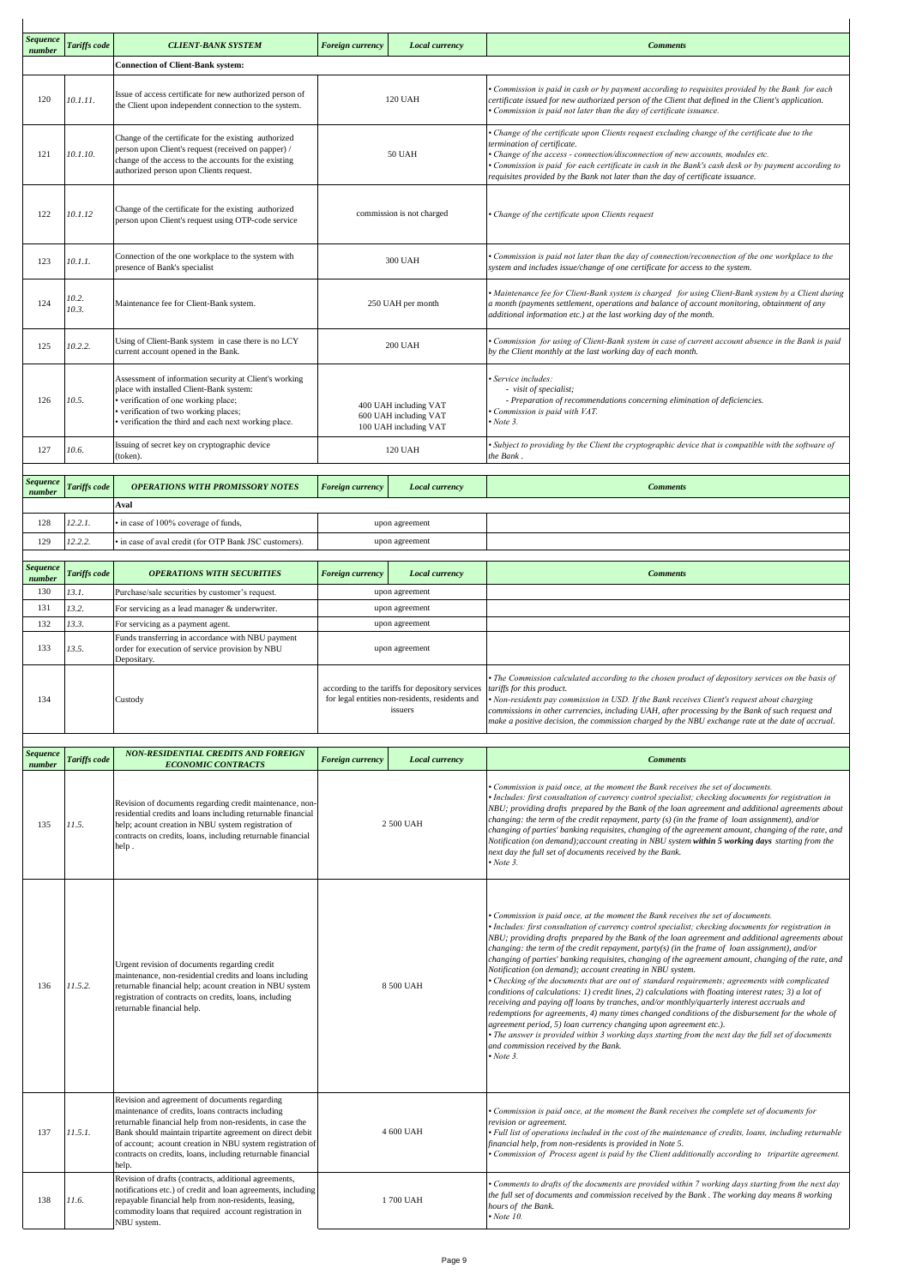| Sequence           |                |                                                                                                                                                                                                                                                                                                                                                                   |                         |                                                                                                                                          |                                                                                                                                                                                                                                                                                                                                                                                                                                                                                                                                                                                                                                                                                                                                                                                                                                                                                                                                                                                                                                                                                                                                                                                                            |
|--------------------|----------------|-------------------------------------------------------------------------------------------------------------------------------------------------------------------------------------------------------------------------------------------------------------------------------------------------------------------------------------------------------------------|-------------------------|------------------------------------------------------------------------------------------------------------------------------------------|------------------------------------------------------------------------------------------------------------------------------------------------------------------------------------------------------------------------------------------------------------------------------------------------------------------------------------------------------------------------------------------------------------------------------------------------------------------------------------------------------------------------------------------------------------------------------------------------------------------------------------------------------------------------------------------------------------------------------------------------------------------------------------------------------------------------------------------------------------------------------------------------------------------------------------------------------------------------------------------------------------------------------------------------------------------------------------------------------------------------------------------------------------------------------------------------------------|
| number             | Tariffs code   | <b>CLIENT-BANK SYSTEM</b>                                                                                                                                                                                                                                                                                                                                         | Foreign currency        | <b>Local currency</b>                                                                                                                    | <b>Comments</b>                                                                                                                                                                                                                                                                                                                                                                                                                                                                                                                                                                                                                                                                                                                                                                                                                                                                                                                                                                                                                                                                                                                                                                                            |
|                    |                | <b>Connection of Client-Bank system:</b>                                                                                                                                                                                                                                                                                                                          |                         |                                                                                                                                          |                                                                                                                                                                                                                                                                                                                                                                                                                                                                                                                                                                                                                                                                                                                                                                                                                                                                                                                                                                                                                                                                                                                                                                                                            |
| 120                | 10.1.11.       | Issue of access certificate for new authorized person of<br>the Client upon independent connection to the system.                                                                                                                                                                                                                                                 |                         | <b>120 UAH</b>                                                                                                                           | Commission is paid in cash or by payment according to requisites provided by the Bank for each<br>certificate issued for new authorized person of the Client that defined in the Client's application.<br>Commission is paid not later than the day of certificate issuance.                                                                                                                                                                                                                                                                                                                                                                                                                                                                                                                                                                                                                                                                                                                                                                                                                                                                                                                               |
| 121                | 10.1.10.       | Change of the certificate for the existing authorized<br>person upon Client's request (received on papper) /<br>change of the access to the accounts for the existing<br>authorized person upon Clients request.                                                                                                                                                  |                         | 50 UAH                                                                                                                                   | Change of the certificate upon Clients request excluding change of the certificate due to the<br>ermination of certificate.<br>Change of the access - connection/disconnection of new accounts, modules etc.<br>Commission is paid for each certificate in cash in the Bank's cash desk or by payment according to<br>requisites provided by the Bank not later than the day of certificate issuance.                                                                                                                                                                                                                                                                                                                                                                                                                                                                                                                                                                                                                                                                                                                                                                                                      |
| 122                | 10.1.12        | Change of the certificate for the existing authorized<br>person upon Client's request using OTP-code service                                                                                                                                                                                                                                                      |                         | commission is not charged                                                                                                                | Change of the certificate upon Clients request                                                                                                                                                                                                                                                                                                                                                                                                                                                                                                                                                                                                                                                                                                                                                                                                                                                                                                                                                                                                                                                                                                                                                             |
| 123                | 10.1.1.        | Connection of the one workplace to the system with<br>presence of Bank's specialist                                                                                                                                                                                                                                                                               |                         | 300 UAH                                                                                                                                  | Commission is paid not later than the day of connection/reconnection of the one workplace to the<br>system and includes issue/change of one certificate for access to the system.                                                                                                                                                                                                                                                                                                                                                                                                                                                                                                                                                                                                                                                                                                                                                                                                                                                                                                                                                                                                                          |
| 124                | 10.2.<br>10.3. | Maintenance fee for Client-Bank system.                                                                                                                                                                                                                                                                                                                           |                         | 250 UAH per month                                                                                                                        | Maintenance fee for Client-Bank system is charged for using Client-Bank system by a Client during<br>a month (payments settlement, operations and balance of account monitoring, obtainment of any<br>additional information etc.) at the last working day of the month.                                                                                                                                                                                                                                                                                                                                                                                                                                                                                                                                                                                                                                                                                                                                                                                                                                                                                                                                   |
| 125                | 10.2.2.        | Using of Client-Bank system in case there is no LCY<br>current account opened in the Bank.                                                                                                                                                                                                                                                                        |                         | <b>200 UAH</b>                                                                                                                           | Commission for using of Client-Bank system in case of current account absence in the Bank is paid<br>by the Client monthly at the last working day of each month.                                                                                                                                                                                                                                                                                                                                                                                                                                                                                                                                                                                                                                                                                                                                                                                                                                                                                                                                                                                                                                          |
| 126                | 10.5.          | Assessment of information security at Client's working<br>place with installed Client-Bank system:<br>verification of one working place;<br>verification of two working places;<br>verification the third and each next working place.                                                                                                                            |                         | 400 UAH including VAT<br>600 UAH including VAT<br>100 UAH including VAT                                                                  | Service includes:<br>- visit of specialist;<br>- Preparation of recommendations concerning elimination of deficiencies.<br>Commission is paid with VAT.<br>Note 3.                                                                                                                                                                                                                                                                                                                                                                                                                                                                                                                                                                                                                                                                                                                                                                                                                                                                                                                                                                                                                                         |
| 127                | 10.6.          | Issuing of secret key on cryptographic device<br>(token).                                                                                                                                                                                                                                                                                                         |                         | 120 UAH                                                                                                                                  | Subject to providing by the Client the cryptographic device that is compatible with the software of<br>the Bank.                                                                                                                                                                                                                                                                                                                                                                                                                                                                                                                                                                                                                                                                                                                                                                                                                                                                                                                                                                                                                                                                                           |
| Sequence<br>number | Tariffs code   | <b>OPERATIONS WITH PROMISSORY NOTES</b>                                                                                                                                                                                                                                                                                                                           | <b>Foreign currency</b> | <b>Local currency</b>                                                                                                                    | <b>Comments</b>                                                                                                                                                                                                                                                                                                                                                                                                                                                                                                                                                                                                                                                                                                                                                                                                                                                                                                                                                                                                                                                                                                                                                                                            |
|                    |                | Aval                                                                                                                                                                                                                                                                                                                                                              |                         |                                                                                                                                          |                                                                                                                                                                                                                                                                                                                                                                                                                                                                                                                                                                                                                                                                                                                                                                                                                                                                                                                                                                                                                                                                                                                                                                                                            |
| 128                | 12.2.1.        | in case of 100% coverage of funds,                                                                                                                                                                                                                                                                                                                                | upon agreement          |                                                                                                                                          |                                                                                                                                                                                                                                                                                                                                                                                                                                                                                                                                                                                                                                                                                                                                                                                                                                                                                                                                                                                                                                                                                                                                                                                                            |
| 129                | 12.2.2.        | in case of aval credit (for OTP Bank JSC customers).                                                                                                                                                                                                                                                                                                              | upon agreement          |                                                                                                                                          |                                                                                                                                                                                                                                                                                                                                                                                                                                                                                                                                                                                                                                                                                                                                                                                                                                                                                                                                                                                                                                                                                                                                                                                                            |
| Sequence<br>number | Tariffs code   | <b>OPERATIONS WITH SECURITIES</b>                                                                                                                                                                                                                                                                                                                                 | <b>Foreign currency</b> | <b>Local currency</b>                                                                                                                    | <b>Comments</b>                                                                                                                                                                                                                                                                                                                                                                                                                                                                                                                                                                                                                                                                                                                                                                                                                                                                                                                                                                                                                                                                                                                                                                                            |
| 130                | 13.1.          | Purchase/sale securities by customer's request.                                                                                                                                                                                                                                                                                                                   |                         | upon agreement                                                                                                                           |                                                                                                                                                                                                                                                                                                                                                                                                                                                                                                                                                                                                                                                                                                                                                                                                                                                                                                                                                                                                                                                                                                                                                                                                            |
| 131                | 13.2.          | For servicing as a lead manager & underwriter.                                                                                                                                                                                                                                                                                                                    |                         | upon agreement                                                                                                                           |                                                                                                                                                                                                                                                                                                                                                                                                                                                                                                                                                                                                                                                                                                                                                                                                                                                                                                                                                                                                                                                                                                                                                                                                            |
| 132                | 13.3.          | For servicing as a payment agent.<br>Funds transferring in accordance with NBU payment                                                                                                                                                                                                                                                                            | upon agreement          |                                                                                                                                          |                                                                                                                                                                                                                                                                                                                                                                                                                                                                                                                                                                                                                                                                                                                                                                                                                                                                                                                                                                                                                                                                                                                                                                                                            |
| 133                | 13.5.          | order for execution of service provision by NBU<br>Depositary.                                                                                                                                                                                                                                                                                                    |                         | upon agreement                                                                                                                           |                                                                                                                                                                                                                                                                                                                                                                                                                                                                                                                                                                                                                                                                                                                                                                                                                                                                                                                                                                                                                                                                                                                                                                                                            |
| 134                |                | Custody                                                                                                                                                                                                                                                                                                                                                           |                         | according to the tariffs for depository services tariffs for this product.<br>for legal entities non-residents, residents and<br>issuers | The Commission calculated according to the chosen product of depository services on the basis of<br>• Non-residents pay commission in USD. If the Bank receives Client's request about charging<br>commissions in other currencies, including UAH, after processing by the Bank of such request and<br>make a positive decision, the commission charged by the NBU exchange rate at the date of accrual.                                                                                                                                                                                                                                                                                                                                                                                                                                                                                                                                                                                                                                                                                                                                                                                                   |
| Sequence           |                | NON-RESIDENTIAL CREDITS AND FOREIGN                                                                                                                                                                                                                                                                                                                               |                         |                                                                                                                                          | <b>Comments</b>                                                                                                                                                                                                                                                                                                                                                                                                                                                                                                                                                                                                                                                                                                                                                                                                                                                                                                                                                                                                                                                                                                                                                                                            |
| number             | Tariffs code   | <b>ECONOMIC CONTRACTS</b>                                                                                                                                                                                                                                                                                                                                         | <b>Foreign currency</b> | Local currency                                                                                                                           |                                                                                                                                                                                                                                                                                                                                                                                                                                                                                                                                                                                                                                                                                                                                                                                                                                                                                                                                                                                                                                                                                                                                                                                                            |
| 135                | 11.5.          | Revision of documents regarding credit maintenance, non-<br>residential credits and loans including returnable financial<br>help; acount creation in NBU system registration of<br>contracts on credits, loans, including returnable financial<br>help.                                                                                                           |                         | 2 500 UAH                                                                                                                                | Commission is paid once, at the moment the Bank receives the set of documents.<br>Includes: first consultation of currency control specialist; checking documents for registration in<br>NBU; providing drafts prepared by the Bank of the loan agreement and additional agreements about<br>changing: the term of the credit repayment, party $(s)$ (in the frame of loan assignment), and/or<br>changing of parties' banking requisites, changing of the agreement amount, changing of the rate, and<br>Notification (on demand); account creating in NBU system within 5 working days starting from the<br>next day the full set of documents received by the Bank.<br>Note 3.                                                                                                                                                                                                                                                                                                                                                                                                                                                                                                                          |
| 136                | 11.5.2.        | Urgent revision of documents regarding credit<br>maintenance, non-residential credits and loans including<br>returnable financial help; acount creation in NBU system<br>registration of contracts on credits, loans, including<br>returnable financial help.                                                                                                     | 8 500 UAH               |                                                                                                                                          | Commission is paid once, at the moment the Bank receives the set of documents.<br>Includes: first consultation of currency control specialist; checking documents for registration in<br>NBU; providing drafts prepared by the Bank of the loan agreement and additional agreements about<br>changing: the term of the credit repayment, party(s) (in the frame of loan assignment), and/or<br>changing of parties' banking requisites, changing of the agreement amount, changing of the rate, and<br>Notification (on demand); account creating in NBU system.<br>Checking of the documents that are out of standard requirements; agreements with complicated<br>conditions of calculations: 1) credit lines, 2) calculations with floating interest rates; 3) a lot of<br>receiving and paying off loans by tranches, and/or monthly/quarterly interest accruals and<br>redemptions for agreements, 4) many times changed conditions of the disbursement for the whole of<br>agreement period, 5) loan currency changing upon agreement etc.).<br>The answer is provided within 3 working days starting from the next day the full set of documents<br>and commission received by the Bank.<br>Note 3. |
| 137                | 11.5.1.        | Revision and agreement of documents regarding<br>maintenance of credits, loans contracts including<br>returnable financial help from non-residents, in case the<br>Bank should maintain tripartite agreement on direct debit<br>of account; acount creation in NBU system registration of<br>contracts on credits, loans, including returnable financial<br>help. |                         | 4 600 UAH                                                                                                                                | Commission is paid once, at the moment the Bank receives the complete set of documents for<br>revision or agreement.<br>Full list of operations included in the cost of the maintenance of credits, loans, including returnable<br>financial help, from non-residents is provided in Note 5.<br>Commission of Process agent is paid by the Client additionally according to tripartite agreement.                                                                                                                                                                                                                                                                                                                                                                                                                                                                                                                                                                                                                                                                                                                                                                                                          |
| 138                | 11.6.          | Revision of drafts (contracts, additional agreements,<br>notifications etc.) of credit and loan agreements, including<br>repayable financial help from non-residents, leasing,<br>commodity loans that required account registration in<br>NBU system.                                                                                                            |                         | 1700 UAH                                                                                                                                 | Comments to drafts of the documents are provided within 7 working days starting from the next day<br>the full set of documents and commission received by the Bank . The working day means 8 working<br>hours of the Bank.<br>Note 10.                                                                                                                                                                                                                                                                                                                                                                                                                                                                                                                                                                                                                                                                                                                                                                                                                                                                                                                                                                     |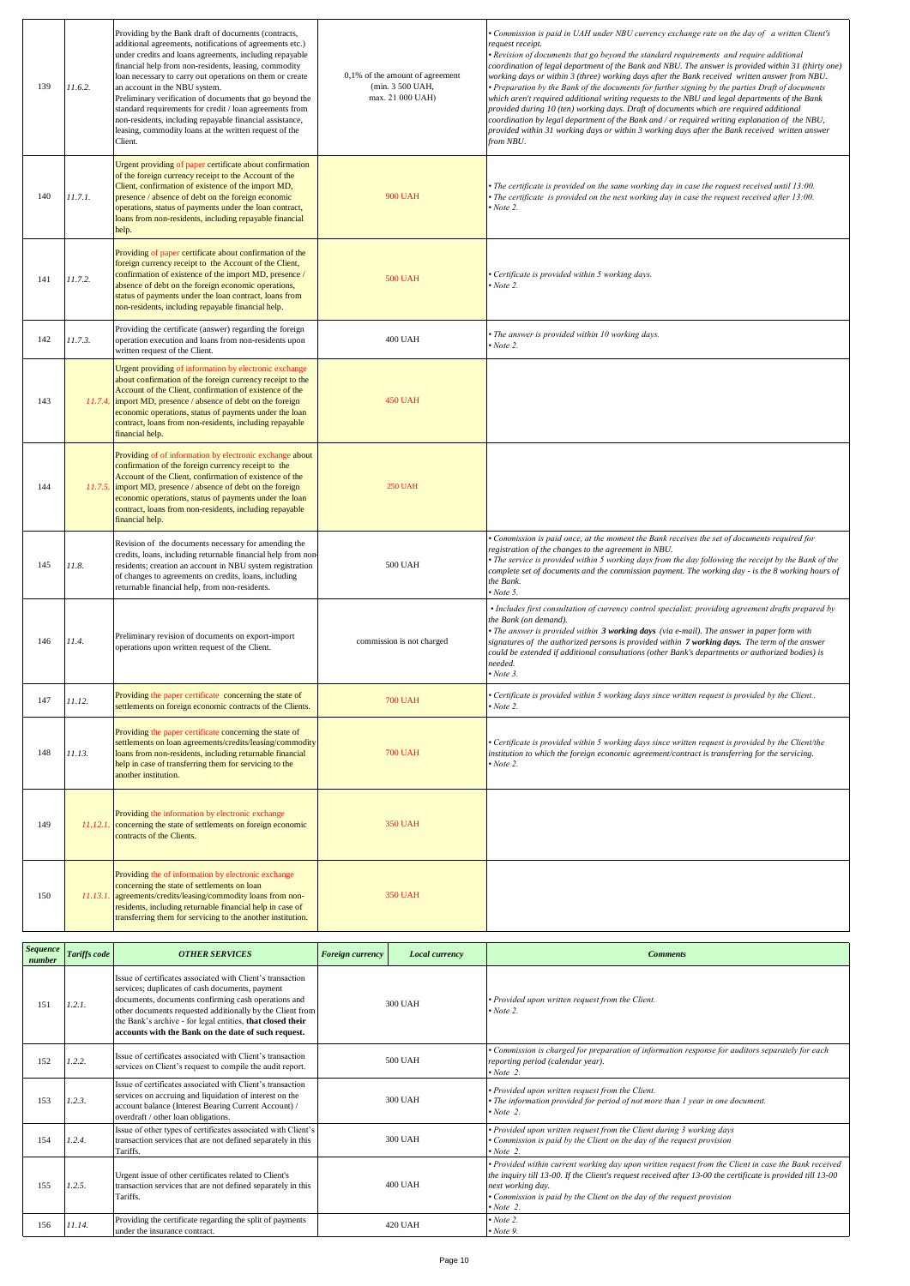| 139 | 11.6.2.  | Providing by the Bank draft of documents (contracts,<br>additional agreements, notifications of agreements etc.)<br>under credits and loans agreements, including repayable<br>financial help from non-residents, leasing, commodity<br>loan necessary to carry out operations on them or create<br>an account in the NBU system.<br>Preliminary verification of documents that go beyond the<br>standard requirements for credit / loan agreements from<br>non-residents, including repayable financial assistance,<br>leasing, commodity loans at the written request of the<br>Client. | 0,1% of the amount of agreement<br>(min. 3 500 UAH,<br>max. 21 000 UAH) | Commission is paid in UAH under NBU currency exchange rate on the day of a written Client's<br>request receipt.<br>• Revision of documents that go beyond the standard requirements and require additional<br>(coordination of legal department of the Bank and NBU. The answer is provided within 31 (thirty one<br>working days or within 3 (three) working days after the Bank received written answer from NBU.<br>• Preparation by the Bank of the documents for further signing by the parties Draft of documents<br>which aren't required additional writing requests to the NBU and legal departments of the Bank<br>provided during 10 (ten) working days. Draft of documents which are required additional<br>coordination by legal department of the Bank and / or required writing explanation of the NBU,<br>provided within 31 working days or within 3 working days after the Bank received written answer<br>from NBU. |
|-----|----------|-------------------------------------------------------------------------------------------------------------------------------------------------------------------------------------------------------------------------------------------------------------------------------------------------------------------------------------------------------------------------------------------------------------------------------------------------------------------------------------------------------------------------------------------------------------------------------------------|-------------------------------------------------------------------------|----------------------------------------------------------------------------------------------------------------------------------------------------------------------------------------------------------------------------------------------------------------------------------------------------------------------------------------------------------------------------------------------------------------------------------------------------------------------------------------------------------------------------------------------------------------------------------------------------------------------------------------------------------------------------------------------------------------------------------------------------------------------------------------------------------------------------------------------------------------------------------------------------------------------------------------|
| 140 | 11.7.1.  | Urgent providing of paper certificate about confirmation<br>of the foreign currency receipt to the Account of the<br>Client, confirmation of existence of the import MD,<br>presence / absence of debt on the foreign economic<br>operations, status of payments under the loan contract,<br>loans from non-residents, including repayable financial<br>help.                                                                                                                                                                                                                             | <b>900 UAH</b>                                                          | The certificate is provided on the same working day in case the request received until 13:00.<br>• The certificate is provided on the next working day in case the request received after 13:00.<br>$\cdot$ Note 2.                                                                                                                                                                                                                                                                                                                                                                                                                                                                                                                                                                                                                                                                                                                    |
| 141 | 11.7.2.  | Providing of paper certificate about confirmation of the<br>foreign currency receipt to the Account of the Client,<br>confirmation of existence of the import MD, presence /<br>absence of debt on the foreign economic operations,<br>status of payments under the loan contract, loans from<br>non-residents, including repayable financial help.                                                                                                                                                                                                                                       | <b>500 UAH</b>                                                          | · Certificate is provided within 5 working days.<br>$\cdot$ Note 2.                                                                                                                                                                                                                                                                                                                                                                                                                                                                                                                                                                                                                                                                                                                                                                                                                                                                    |
| 142 | 11.7.3.  | Providing the certificate (answer) regarding the foreign<br>operation execution and loans from non-residents upon<br>written request of the Client.                                                                                                                                                                                                                                                                                                                                                                                                                                       | <b>400 UAH</b>                                                          | • The answer is provided within 10 working days.<br>Note 2.                                                                                                                                                                                                                                                                                                                                                                                                                                                                                                                                                                                                                                                                                                                                                                                                                                                                            |
| 143 | 11.7.4.  | Urgent providing of information by electronic exchange<br>about confirmation of the foreign currency receipt to the<br>Account of the Client, confirmation of existence of the<br>import MD, presence / absence of debt on the foreign<br>economic operations, status of payments under the loan<br>contract, loans from non-residents, including repayable<br>financial help.                                                                                                                                                                                                            | <b>450 UAH</b>                                                          |                                                                                                                                                                                                                                                                                                                                                                                                                                                                                                                                                                                                                                                                                                                                                                                                                                                                                                                                        |
| 144 |          | Providing of of information by electronic exchange about<br>confirmation of the foreign currency receipt to the<br>Account of the Client, confirmation of existence of the<br>11.7.5. import MD, presence / absence of debt on the foreign<br>economic operations, status of payments under the loan<br>contract, loans from non-residents, including repayable<br>financial help.                                                                                                                                                                                                        | <b>250 UAH</b>                                                          |                                                                                                                                                                                                                                                                                                                                                                                                                                                                                                                                                                                                                                                                                                                                                                                                                                                                                                                                        |
| 145 | 11.8.    | Revision of the documents necessary for amending the<br>credits, loans, including returnable financial help from non-<br>residents; creation an account in NBU system registration<br>of changes to agreements on credits, loans, including<br>returnable financial help, from non-residents.                                                                                                                                                                                                                                                                                             | 500 UAH                                                                 | • Commission is paid once, at the moment the Bank receives the set of documents required for<br>registration of the changes to the agreement in NBU.<br>• The service is provided within 5 working days from the day following the receipt by the Bank of the<br>complete set of documents and the commission payment. The working day - is the 8 working hours of<br>the Bank.<br>$\cdot$ Note 5.                                                                                                                                                                                                                                                                                                                                                                                                                                                                                                                                     |
| 146 | 11.4.    | Preliminary revision of documents on export-import<br>operations upon written request of the Client.                                                                                                                                                                                                                                                                                                                                                                                                                                                                                      | commission is not charged                                               | • Includes first consultation of currency control specialist; providing agreement drafts prepared by<br>the Bank (on demand).<br>• The answer is provided within 3 working days (via e-mail). The answer in paper form with<br>signatures of the authorized persons is provided within 7 working days. The term of the answer<br>could be extended if additional consultations (other Bank's departments or authorized bodies) is<br>needed.<br>Now be 3.                                                                                                                                                                                                                                                                                                                                                                                                                                                                              |
| 147 | 11.12.   | Providing the paper certificate concerning the state of<br>settlements on foreign economic contracts of the Clients.                                                                                                                                                                                                                                                                                                                                                                                                                                                                      | <b>700 UAH</b>                                                          | • Certificate is provided within 5 working days since written request is provided by the Client<br>$\cdot$ Note 2.                                                                                                                                                                                                                                                                                                                                                                                                                                                                                                                                                                                                                                                                                                                                                                                                                     |
| 148 | 11.13.   | Providing the paper certificate concerning the state of<br>settlements on loan agreements/credits/leasing/commodity<br>loans from non-residents, including returnable financial<br>help in case of transferring them for servicing to the<br>another institution.                                                                                                                                                                                                                                                                                                                         | <b>700 UAH</b>                                                          | • Certificate is provided within 5 working days since written request is provided by the Client/the<br>institution to which the foreign economic agreement/contract is transferring for the servicing.<br>$\cdot$ Note 2.                                                                                                                                                                                                                                                                                                                                                                                                                                                                                                                                                                                                                                                                                                              |
| 149 |          | Providing the information by electronic exchange<br>11.12.1. concerning the state of settlements on foreign economic<br>contracts of the Clients.                                                                                                                                                                                                                                                                                                                                                                                                                                         | <b>350 UAH</b>                                                          |                                                                                                                                                                                                                                                                                                                                                                                                                                                                                                                                                                                                                                                                                                                                                                                                                                                                                                                                        |
| 150 | 11.13.1. | Providing the of information by electronic exchange<br>concerning the state of settlements on loan<br>agreements/credits/leasing/commodity loans from non-<br>residents, including returnable financial help in case of<br>transferring them for servicing to the another institution.                                                                                                                                                                                                                                                                                                    | <b>350 UAH</b>                                                          |                                                                                                                                                                                                                                                                                                                                                                                                                                                                                                                                                                                                                                                                                                                                                                                                                                                                                                                                        |

| <b>Sequence</b><br>number | Tariffs code | <b>OTHER SERVICES</b>                                                                                                                                                                                                                                                                                                                                  | <b>Foreign currency</b> | Local currency | <b>Comments</b>                                                                                                                                                                                                                                                                                                                       |
|---------------------------|--------------|--------------------------------------------------------------------------------------------------------------------------------------------------------------------------------------------------------------------------------------------------------------------------------------------------------------------------------------------------------|-------------------------|----------------|---------------------------------------------------------------------------------------------------------------------------------------------------------------------------------------------------------------------------------------------------------------------------------------------------------------------------------------|
| 151                       | 1.2.1.       | Issue of certificates associated with Client's transaction<br>services; duplicates of cash documents, payment<br>documents, documents confirming cash operations and<br>other documents requested additionally by the Client from<br>the Bank's archive - for legal entities, that closed their<br>accounts with the Bank on the date of such request. | 300 UAH                 |                | · Provided upon written request from the Client.<br>$\cdot$ Note 2.                                                                                                                                                                                                                                                                   |
| 152                       | 1.2.2.       | Issue of certificates associated with Client's transaction<br>services on Client's request to compile the audit report.                                                                                                                                                                                                                                | 500 UAH                 |                | Commission is charged for preparation of information response for auditors separately for each<br>reporting period (calendar year).<br>$\cdot$ Note 2.                                                                                                                                                                                |
| 153                       | 1.2.3.       | Issue of certificates associated with Client's transaction<br>services on accruing and liquidation of interest on the<br>account balance (Interest Bearing Current Account) /<br>overdraft / other loan obligations.                                                                                                                                   | 300 UAH                 |                | · Provided upon written request from the Client.<br>The information provided for period of not more than 1 year in one document.<br>$\cdot$ Note 2.                                                                                                                                                                                   |
| 154                       | 1.2.4.       | Issue of other types of certificates associated with Client's<br>transaction services that are not defined separately in this<br>Tariffs.                                                                                                                                                                                                              | 300 UAH                 |                | · Provided upon written request from the Client during 3 working days<br>Commission is paid by the Client on the day of the request provision<br>$\cdot$ Note 2.                                                                                                                                                                      |
| 155                       | 1.2.5.       | Urgent issue of other certificates related to Client's<br>transaction services that are not defined separately in this<br>Tariffs.                                                                                                                                                                                                                     | 400 UAH                 |                | • Provided within current working day upon written request from the Client in case the Bank received<br>the inquiry till 13-00. If the Client's request received after 13-00 the certificate is provided till 13-00<br>next working day.<br>• Commission is paid by the Client on the day of the request provision<br>$\cdot$ Note 2. |
| 156                       | 11.14.       | Providing the certificate regarding the split of payments<br>under the insurance contract.                                                                                                                                                                                                                                                             |                         | 420 UAH        | $\cdot$ Note 2.<br>$\cdot$ Note 9.                                                                                                                                                                                                                                                                                                    |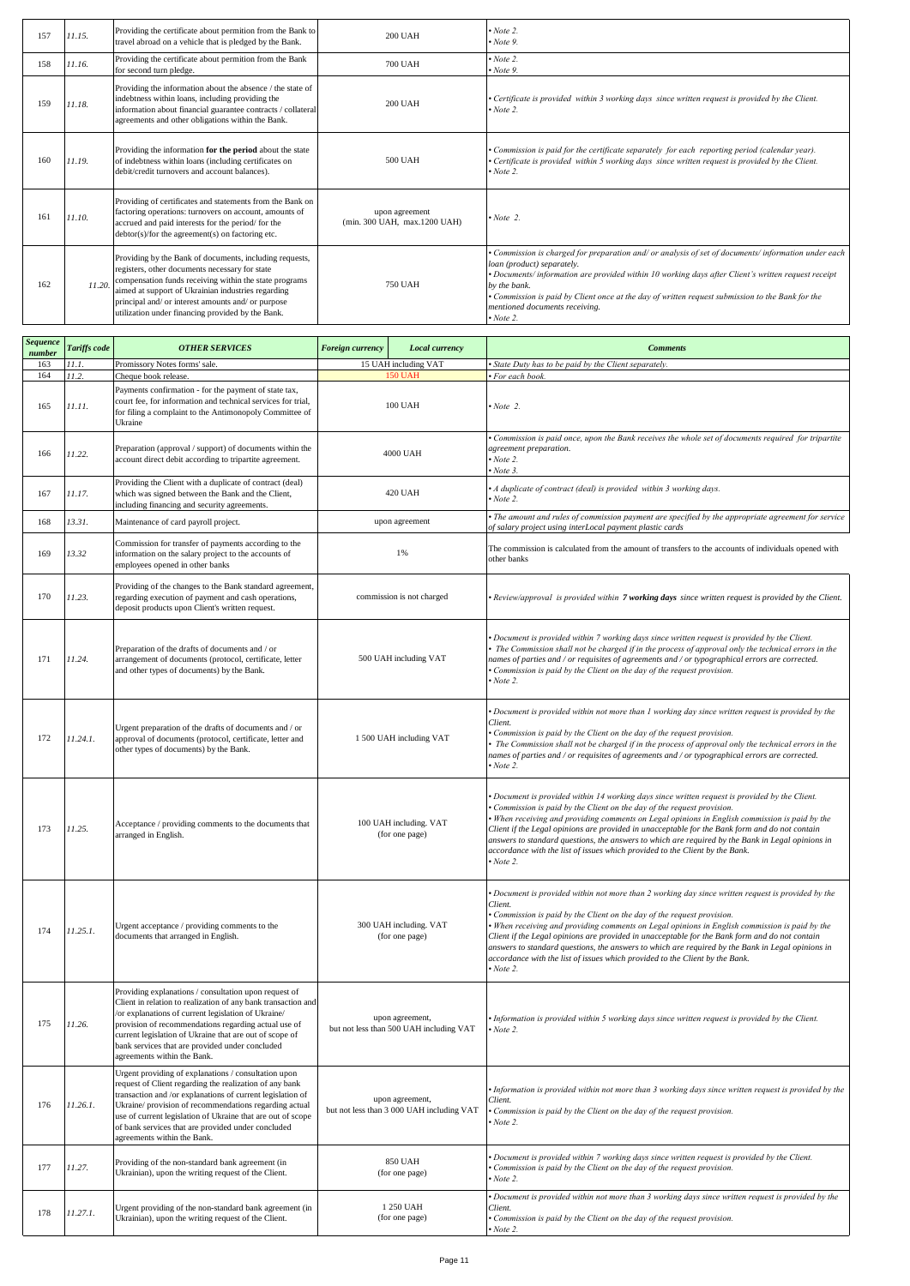| 157 | 11.15. | Providing the certificate about permition from the Bank to<br>travel abroad on a vehicle that is pledged by the Bank.                                                                                                                                                                                                                | <b>200 UAH</b>                                 | $\cdot$ Note 2.<br>$\cdot$ Note 9.                                                                                                                                                                                                                                                                                                                                                                                |
|-----|--------|--------------------------------------------------------------------------------------------------------------------------------------------------------------------------------------------------------------------------------------------------------------------------------------------------------------------------------------|------------------------------------------------|-------------------------------------------------------------------------------------------------------------------------------------------------------------------------------------------------------------------------------------------------------------------------------------------------------------------------------------------------------------------------------------------------------------------|
| 158 | 11.16. | Providing the certificate about permition from the Bank<br>for second turn pledge.                                                                                                                                                                                                                                                   | <b>700 UAH</b>                                 | $\cdot$ Note 2.<br>$\cdot$ Note 9.                                                                                                                                                                                                                                                                                                                                                                                |
| 159 | 11.18. | Providing the information about the absence / the state of<br>indebtness within loans, including providing the<br>information about financial guarantee contracts / collateral<br>agreements and other obligations within the Bank.                                                                                                  | <b>200 UAH</b>                                 | • Certificate is provided within 3 working days since written request is provided by the Client.<br>$\cdot$ Note 2.                                                                                                                                                                                                                                                                                               |
| 160 | 11.19. | Providing the information for the period about the state<br>of indebtness within loans (including certificates on<br>debit/credit turnovers and account balances).                                                                                                                                                                   | 500 UAH                                        | • Commission is paid for the certificate separately for each reporting period (calendar year).<br>• Certificate is provided within 5 working days since written request is provided by the Client.<br>$\bullet$ Note 2.                                                                                                                                                                                           |
| 161 | 11.10. | Providing of certificates and statements from the Bank on<br>factoring operations: turnovers on account, amounts of<br>accrued and paid interests for the period/for the<br>$debtor(s)/for$ the agreement(s) on factoring etc.                                                                                                       | upon agreement<br>(min. 300 UAH, max.1200 UAH) | $\cdot$ Note 2.                                                                                                                                                                                                                                                                                                                                                                                                   |
| 162 | 11.20. | Providing by the Bank of documents, including requests,<br>registers, other documents necessary for state<br>compensation funds receiving within the state programs<br>aimed at support of Ukrainian industries regarding<br>principal and/ or interest amounts and/ or purpose<br>utilization under financing provided by the Bank. | 750 UAH                                        | • Commission is charged for preparation and/ or analysis of set of documents/information under each<br>loan (product) separately.<br>• Documents/ information are provided within 10 working days after Client's written request receipt<br>by the bank.<br>• Commission is paid by Client once at the day of written request submission to the Bank for the<br>mentioned documents receiving.<br>$\cdot$ Note 2. |

| Sequence<br>number | <b>Tariffs</b> code | <b>OTHER SERVICES</b>                                                                                                                                                                                                                                                                                                                                                                       | Foreign currency                                             | Local currency | <b>Comments</b>                                                                                                                                                                                                                                                                                                                                                                                                                                                                                                                                                                        |
|--------------------|---------------------|---------------------------------------------------------------------------------------------------------------------------------------------------------------------------------------------------------------------------------------------------------------------------------------------------------------------------------------------------------------------------------------------|--------------------------------------------------------------|----------------|----------------------------------------------------------------------------------------------------------------------------------------------------------------------------------------------------------------------------------------------------------------------------------------------------------------------------------------------------------------------------------------------------------------------------------------------------------------------------------------------------------------------------------------------------------------------------------------|
| 163                | 11.1.               | Promissory Notes forms' sale.                                                                                                                                                                                                                                                                                                                                                               | 15 UAH including VAT                                         |                | · State Duty has to be paid by the Client separately.                                                                                                                                                                                                                                                                                                                                                                                                                                                                                                                                  |
| 164                | 11.2.               | Cheque book release.                                                                                                                                                                                                                                                                                                                                                                        | <b>150 UAH</b>                                               |                | · For each book.                                                                                                                                                                                                                                                                                                                                                                                                                                                                                                                                                                       |
| 165                | 11.11.              | Payments confirmation - for the payment of state tax,<br>court fee, for information and technical services for trial,<br>for filing a complaint to the Antimonopoly Committee of<br>Ukraine                                                                                                                                                                                                 | <b>100 UAH</b>                                               |                | $\cdot$ Note 2.                                                                                                                                                                                                                                                                                                                                                                                                                                                                                                                                                                        |
| 166                | 11.22.              | Preparation (approval / support) of documents within the<br>account direct debit according to tripartite agreement.                                                                                                                                                                                                                                                                         | 4000 UAH                                                     |                | • Commission is paid once, upon the Bank receives the whole set of documents required for tripartite<br>agreement preparation.<br>$\cdot$ Note 2.<br>$\cdot$ Note 3.                                                                                                                                                                                                                                                                                                                                                                                                                   |
| 167                | 11.17.              | Providing the Client with a duplicate of contract (deal)<br>which was signed between the Bank and the Client,<br>including financing and security agreements.                                                                                                                                                                                                                               | 420 UAH                                                      |                | • A duplicate of contract (deal) is provided within 3 working days.<br>$\cdot$ Note 2.                                                                                                                                                                                                                                                                                                                                                                                                                                                                                                 |
| 168                | 13.31.              | Maintenance of card payroll project.                                                                                                                                                                                                                                                                                                                                                        |                                                              | upon agreement | The amount and rules of commission payment are specified by the appropriate agreement for service<br>of salary project using interLocal payment plastic cards                                                                                                                                                                                                                                                                                                                                                                                                                          |
| 169                | 13.32               | Commission for transfer of payments according to the<br>information on the salary project to the accounts of<br>employees opened in other banks                                                                                                                                                                                                                                             | 1%                                                           |                | The commission is calculated from the amount of transfers to the accounts of individuals opened with<br>other banks                                                                                                                                                                                                                                                                                                                                                                                                                                                                    |
| 170                | 11.23.              | Providing of the changes to the Bank standard agreement,<br>regarding execution of payment and cash operations,<br>deposit products upon Client's written request.                                                                                                                                                                                                                          | commission is not charged                                    |                | Review/approval is provided within 7 working days since written request is provided by the Client.                                                                                                                                                                                                                                                                                                                                                                                                                                                                                     |
| 171                | 11.24.              | Preparation of the drafts of documents and / or<br>arrangement of documents (protocol, certificate, letter<br>and other types of documents) by the Bank.                                                                                                                                                                                                                                    | 500 UAH including VAT                                        |                | Document is provided within 7 working days since written request is provided by the Client.<br>The Commission shall not be charged if in the process of approval only the technical errors in the<br>names of parties and / or requisites of agreements and / or typographical errors are corrected.<br>Commission is paid by the Client on the day of the request provision.<br>• Note 2.                                                                                                                                                                                             |
| 172                | 11.24.1.            | Urgent preparation of the drafts of documents and / or<br>approval of documents (protocol, certificate, letter and<br>other types of documents) by the Bank.                                                                                                                                                                                                                                | 1 500 UAH including VAT                                      |                | Document is provided within not more than 1 working day since written request is provided by the<br>Client.<br>Commission is paid by the Client on the day of the request provision.<br>The Commission shall not be charged if in the process of approval only the technical errors in the<br>names of parties and / or requisites of agreements and / or typographical errors are corrected.<br>$\cdot$ Note 2.                                                                                                                                                                       |
| 173                | 11.25.              | Acceptance / providing comments to the documents that<br>arranged in English.                                                                                                                                                                                                                                                                                                               | 100 UAH including. VAT<br>(for one page)                     |                | Document is provided within 14 working days since written request is provided by the Client.<br>Commission is paid by the Client on the day of the request provision.<br>When receiving and providing comments on Legal opinions in English commission is paid by the<br>Client if the Legal opinions are provided in unacceptable for the Bank form and do not contain<br>answers to standard questions, the answers to which are required by the Bank in Legal opinions in<br>accordance with the list of issues which provided to the Client by the Bank.<br>$\cdot$ Note 2.        |
| 174                | 11.25.1.            | Urgent acceptance / providing comments to the<br>documents that arranged in English.                                                                                                                                                                                                                                                                                                        | 300 UAH including. VAT<br>(for one page)                     |                | Document is provided within not more than 2 working day since written request is provided by the<br>Client.<br>Commission is paid by the Client on the day of the request provision.<br>When receiving and providing comments on Legal opinions in English commission is paid by the<br>Client if the Legal opinions are provided in unacceptable for the Bank form and do not contain<br>answers to standard questions, the answers to which are required by the Bank in Legal opinions in<br>accordance with the list of issues which provided to the Client by the Bank.<br>Note 2. |
| 175                | 11.26.              | Providing explanations / consultation upon request of<br>Client in relation to realization of any bank transaction and<br>/or explanations of current legislation of Ukraine/<br>provision of recommendations regarding actual use of<br>current legislation of Ukraine that are out of scope of<br>bank services that are provided under concluded<br>agreements within the Bank.          | upon agreement,<br>but not less than 500 UAH including VAT   |                | • Information is provided within 5 working days since written request is provided by the Client.<br>$\cdot$ Note 2.                                                                                                                                                                                                                                                                                                                                                                                                                                                                    |
| 176                | 11.26.1.            | Urgent providing of explanations / consultation upon<br>request of Client regarding the realization of any bank<br>transaction and /or explanations of current legislation of<br>Ukraine/ provision of recommendations regarding actual<br>use of current legislation of Ukraine that are out of scope<br>of bank services that are provided under concluded<br>agreements within the Bank. | upon agreement,<br>but not less than 3 000 UAH including VAT |                | Information is provided within not more than 3 working days since written request is provided by the<br>Client.<br>Commission is paid by the Client on the day of the request provision.<br>$\cdot$ Note 2.                                                                                                                                                                                                                                                                                                                                                                            |
| 177                | 11.27.              | Providing of the non-standard bank agreement (in<br>Ukrainian), upon the writing request of the Client.                                                                                                                                                                                                                                                                                     | 850 UAH<br>(for one page)                                    |                | Document is provided within 7 working days since written request is provided by the Client.<br>Commission is paid by the Client on the day of the request provision.<br>$\cdot$ Note 2.                                                                                                                                                                                                                                                                                                                                                                                                |
| 178                | 11.27.1.            | Urgent providing of the non-standard bank agreement (in<br>Ukrainian), upon the writing request of the Client.                                                                                                                                                                                                                                                                              | 1 250 UAH<br>(for one page)                                  |                | • Document is provided within not more than 3 working days since written request is provided by the<br>Client.<br>Commission is paid by the Client on the day of the request provision.<br>Note 2.                                                                                                                                                                                                                                                                                                                                                                                     |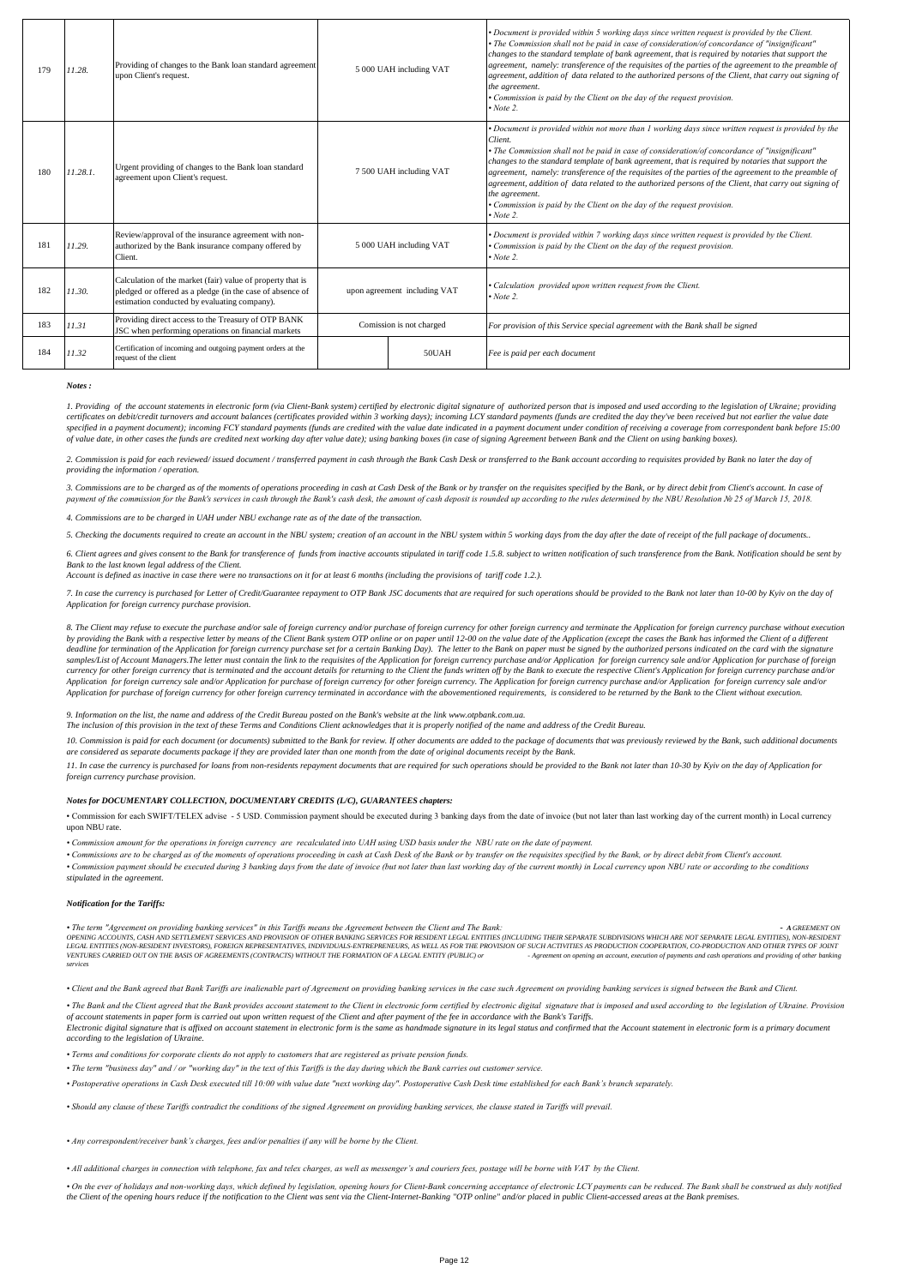| 179 | 11.28.   | Providing of changes to the Bank loan standard agreement<br>upon Client's request.                                                                                      | 5 000 UAH including VAT      |       | • Document is provided within 5 working days since written request is provided by the Client.<br>• The Commission shall not be paid in case of consideration/of concordance of "insignificant"<br>changes to the standard template of bank agreement, that is required by notaries that support the<br>agreement, namely: transference of the requisites of the parties of the agreement to the preamble of<br>agreement, addition of data related to the authorized persons of the Client, that carry out signing of<br>the agreement.<br>• Commission is paid by the Client on the day of the request provision.<br>$\cdot$ Note 2.                  |
|-----|----------|-------------------------------------------------------------------------------------------------------------------------------------------------------------------------|------------------------------|-------|--------------------------------------------------------------------------------------------------------------------------------------------------------------------------------------------------------------------------------------------------------------------------------------------------------------------------------------------------------------------------------------------------------------------------------------------------------------------------------------------------------------------------------------------------------------------------------------------------------------------------------------------------------|
| 180 | 11.28.1. | Urgent providing of changes to the Bank loan standard<br>agreement upon Client's request.                                                                               | 7 500 UAH including VAT      |       | • Document is provided within not more than 1 working days since written request is provided by the<br>Client.<br>• The Commission shall not be paid in case of consideration/of concordance of "insignificant"<br>changes to the standard template of bank agreement, that is required by notaries that support the<br>agreement, namely: transference of the requisites of the parties of the agreement to the preamble of<br>agreement, addition of data related to the authorized persons of the Client, that carry out signing of<br>the agreement.<br>• Commission is paid by the Client on the day of the request provision.<br>$\cdot$ Note 2. |
| 181 | 11.29.   | Review/approval of the insurance agreement with non-<br>authorized by the Bank insurance company offered by<br>Client.                                                  | 5 000 UAH including VAT      |       | • Document is provided within 7 working days since written request is provided by the Client.<br>• Commission is paid by the Client on the day of the request provision.<br>$\cdot$ Note 2.                                                                                                                                                                                                                                                                                                                                                                                                                                                            |
| 182 | 11.30.   | Calculation of the market (fair) value of property that is<br>pledged or offered as a pledge (in the case of absence of<br>estimation conducted by evaluating company). | upon agreement including VAT |       | · Calculation provided upon written request from the Client.<br>$\cdot$ Note 2.                                                                                                                                                                                                                                                                                                                                                                                                                                                                                                                                                                        |
| 183 | 11.31    | Providing direct access to the Treasury of OTP BANK<br>JSC when performing operations on financial markets                                                              | Comission is not charged     |       | For provision of this Service special agreement with the Bank shall be signed                                                                                                                                                                                                                                                                                                                                                                                                                                                                                                                                                                          |
| 184 | 11.32    | Certification of incoming and outgoing payment orders at the<br>request of the client                                                                                   |                              | 50UAH | Fee is paid per each document                                                                                                                                                                                                                                                                                                                                                                                                                                                                                                                                                                                                                          |

*Notes :*

1. Providing of the account statements in electronic form (via Client-Bank system) certified by electronic digital signature of authorized person that is imposed and used according to the legislation of Ukraine; providing certificates on debit/credit turnovers and account balances (certificates provided within 3 working days); incoming LCY standard payments (funds are credited the day they've been received but not earlier the value date *specified in a payment document); incoming FCY standard payments (funds are credited with the value date indicated in a payment document under condition of receiving a coverage from correspondent bank before 15:00 of value date, in other cases the funds are credited next working day after value date); using banking boxes (in case of signing Agreement between Bank and the Client on using banking boxes).*

2. Commission is paid for each reviewed/ issued document / transferred payment in cash through the Bank Cash Desk or transferred to the Bank account according to requisites provided by Bank no later the day of *providing the information / operation.*

3. Commissions are to be charged as of the moments of operations proceeding in cash at Cash Desk of the Bank or by transfer on the requisites specified by the Bank, or by direct debit from Client's account. In case of *payment of the commission for the Bank's services in cash through the Bank's cash desk, the amount of cash deposit is rounded up according to the rules determined by the NBU Resolution № 25 of March 15, 2018.*

*4. Commissions are to be charged in UAH under NBU exchange rate as of the date of the transaction.*

*5. Checking the documents required to create an account in the NBU system; creation of an account in the NBU system within 5 working days from the day after the date of receipt of the full package of documents..*

6. Client agrees and gives consent to the Bank for transference of funds from inactive accounts stipulated in tariff code 1.5.8. subject to written notification of such transference from the Bank. Notification should be se *Bank to the last known legal address of the Client.*

*Account is defined as inactive in case there were no transactions on it for at least 6 months (including the provisions of tariff code 1.2.).*

*7. In case the currency is purchased for Letter of Credit/Guarantee repayment to OTP Bank JSC documents that are required for such operations should be provided to the Bank not later than 10-00 by Kyiv on the day of Application for foreign currency purchase provision.* 

8. The Client may refuse to execute the purchase and/or sale of foreign currency and/or purchase of foreign currency products and terminate the Application for foreign currency purchase without execution<br>by providing the B samples/List of Account Managers. The letter must contain the link to the requisites of the Application for foreign currency purchase and/or Application for foreign currency sale and/or Application for precises of the Sppl currency for other foreign currency that is terminated and the account details for returning to the Client the funds written off by the Bank to execute the respective Client's Application for foreign currency purchase and/ *Application for foreign currency sale and/or Application for purchase of foreign currency for other foreign currency. The Application for foreign currency purchase and/or Application for foreign currency sale and/or Application for purchase of foreign currency for other foreign currency terminated in accordance with the abovementioned requirements, is considered to be returned by the Bank to the Client without execution.*

## *9. Information on the list, the name and address of the Credit Bureau posted on the Bank's website at the link www.otpbank.com.ua.*

*The inclusion of this provision in the text of these Terms and Conditions Client acknowledges that it is properly notified of the name and address of the Credit Bureau.*

10. Commission is paid for each document (or documents) submitted to the Bank for review. If other documents are added to the package of documents that was previously reviewed by the Bank, such additional documents *are considered as separate documents package if they are provided later than one month from the date of original documents receipt by the Bank.*

*11. In case the currency is purchased for loans from non-residents repayment documents that are required for such operations should be provided to the Bank not later than 10-30 by Kyiv on the day of Application for foreign currency purchase provision.* 

#### *Notes for DOCUMENTARY COLLECTION, DOCUMENTARY CREDITS (L/C), GUARANTEES chapters:*

• Commission for each SWIFT/TELEX advise - 5 USD. Commission payment should be executed during 3 banking days from the date of invoice (but not later than last working day of the current month) in Local currency upon NBU rate.

*• Commission amount for the operations in foreign currency are recalculated into UAH using USD basis under the NBU rate on the date of payment.*

*• Commissions are to be charged as of the moments of operations proceeding in cash at Cash Desk of the Bank or by transfer on the requisites specified by the Bank, or by direct debit from Client's account. • Commission payment should be executed during 3 banking days from the date of invoice (but not later than last working day of the current month) in Local currency upon NBU rate or according to the conditions stipulated in the agreement.* 

#### *Notification for the Tariffs:*

• The term "Agreement on providing banking services" in this Tariffs means the Agreement between the Client and The Bank:<br>OPENNG ACCOUNTS, CASH AND ESTILMENT SENIGE SONDERING THE RESOLUTION COOPENING THEIR SEPARATE SUBDIVI

*• Client and the Bank agreed that Bank Tariffs are inalienable part of Agreement on providing banking services in the case such Agreement on providing banking services is signed between the Bank and Client.*

· The Bank and the Client agreed that the Bank provides account statement to the Client in electronic form certified by electronic digital signature that is imposed and used according to the legislation of Ukraine. Provisi *of account statements in paper form is carried out upon written request of the Client and after payment of the fee in accordance with the Bank's Tariffs.*

Electronic digital signature that is affixed on account statement in electronic form is the same as handmade signature in its legal status and confirmed that the Account statement in electronic form is a primary document<br>a

*• Terms and conditions for corporate clients do not apply to customers that are registered as private pension funds.*

*• The term "business day" and / or "working day" in the text of this Tariffs is the day during which the Bank carries out customer service.*

*• Postoperative operations in Cash Desk executed till 10:00 with value date "next working day". Postoperative Cash Desk time established for each Bank's branch separately.*

*• Should any clause of these Tariffs contradict the conditions of the signed Agreement on providing banking services, the clause stated in Tariffs will prevail.*

*• Any correspondent/receiver bank's charges, fees and/or penalties if any will be borne by the Client.* 

*• All additional charges in connection with telephone, fax and telex charges, as well as messenger's and couriers fees, postage will be borne with VAT by the Client.*

· On the ever of holidays and non-working days, which defined by legislation, opening hours for Client-Bank concerning acceptance of electronic LCY payments can be reduced. The Bank shall be construed as duly notified *the Client of the opening hours reduce if the notification to the Client was sent via the Client-Internet-Banking "OTP online" and/or placed in public Client-accessed areas at the Bank premises.*